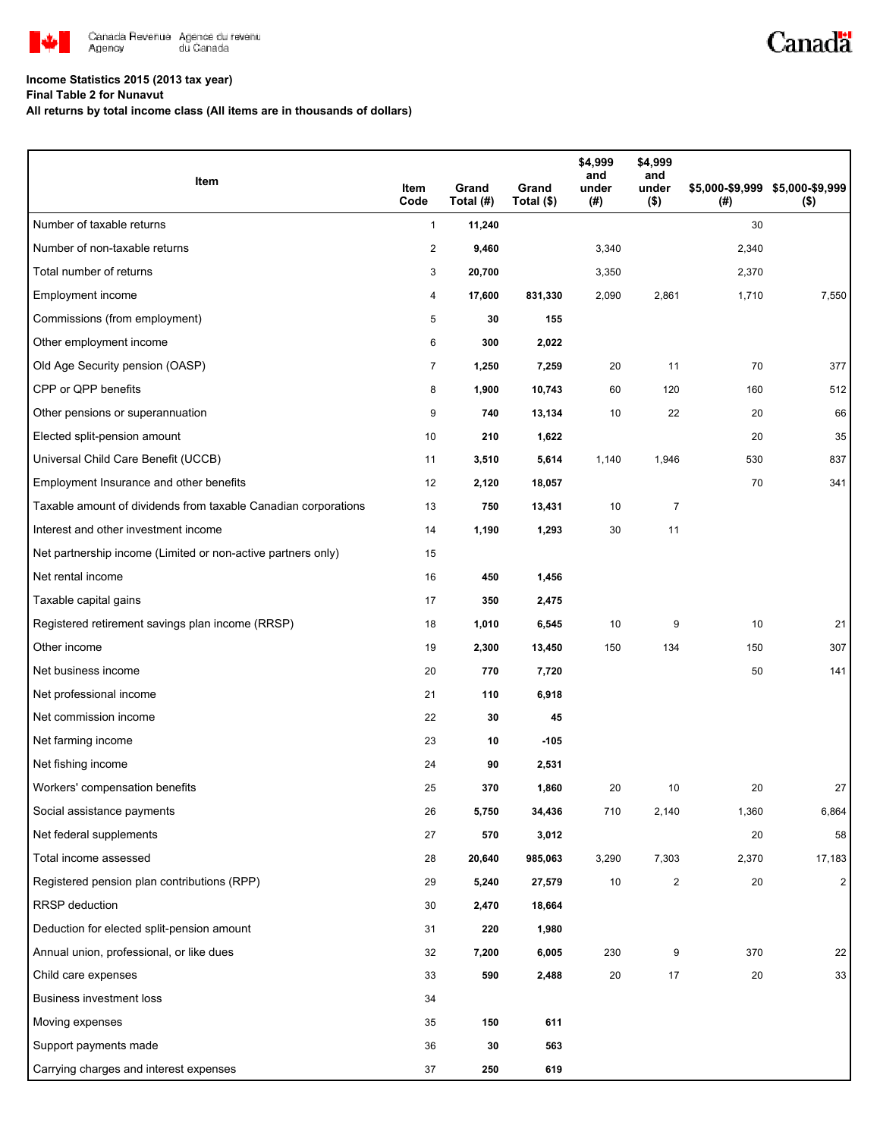

## **Income Statistics 2015 (2013 tax year)**

**Final Table 2 for Nunavut**

**All returns by total income class (All items are in thousands of dollars)**

| Item                                                           | Item<br>Code   | Grand<br>Total (#) | Grand<br>Total (\$) | \$4,999<br>and<br>under<br>(#) | \$4,999<br>and<br>under<br>(\$) | (#)   | \$5,000-\$9,999 \$5,000-\$9,999<br>$($ \$) |
|----------------------------------------------------------------|----------------|--------------------|---------------------|--------------------------------|---------------------------------|-------|--------------------------------------------|
| Number of taxable returns                                      | $\mathbf{1}$   | 11,240             |                     |                                |                                 | 30    |                                            |
| Number of non-taxable returns                                  | $\overline{c}$ | 9,460              |                     | 3,340                          |                                 | 2,340 |                                            |
| Total number of returns                                        | 3              | 20,700             |                     | 3,350                          |                                 | 2,370 |                                            |
| Employment income                                              | 4              | 17,600             | 831,330             | 2,090                          | 2,861                           | 1,710 | 7,550                                      |
| Commissions (from employment)                                  | 5              | 30                 | 155                 |                                |                                 |       |                                            |
| Other employment income                                        | 6              | 300                | 2,022               |                                |                                 |       |                                            |
| Old Age Security pension (OASP)                                | $\overline{7}$ | 1,250              | 7,259               | 20                             | 11                              | 70    | 377                                        |
| CPP or QPP benefits                                            | 8              | 1,900              | 10,743              | 60                             | 120                             | 160   | 512                                        |
| Other pensions or superannuation                               | 9              | 740                | 13,134              | 10                             | 22                              | 20    | 66                                         |
| Elected split-pension amount                                   | 10             | 210                | 1,622               |                                |                                 | 20    | 35                                         |
| Universal Child Care Benefit (UCCB)                            | 11             | 3,510              | 5,614               | 1,140                          | 1,946                           | 530   | 837                                        |
| Employment Insurance and other benefits                        | 12             | 2,120              | 18,057              |                                |                                 | 70    | 341                                        |
| Taxable amount of dividends from taxable Canadian corporations | 13             | 750                | 13,431              | 10                             | 7                               |       |                                            |
| Interest and other investment income                           | 14             | 1,190              | 1,293               | 30                             | 11                              |       |                                            |
| Net partnership income (Limited or non-active partners only)   | 15             |                    |                     |                                |                                 |       |                                            |
| Net rental income                                              | 16             | 450                | 1,456               |                                |                                 |       |                                            |
| Taxable capital gains                                          | 17             | 350                | 2,475               |                                |                                 |       |                                            |
| Registered retirement savings plan income (RRSP)               | 18             | 1,010              | 6,545               | 10                             | 9                               | 10    | 21                                         |
| Other income                                                   | 19             | 2,300              | 13,450              | 150                            | 134                             | 150   | 307                                        |
| Net business income                                            | 20             | 770                | 7,720               |                                |                                 | 50    | 141                                        |
| Net professional income                                        | 21             | 110                | 6,918               |                                |                                 |       |                                            |
| Net commission income                                          | 22             | 30                 | 45                  |                                |                                 |       |                                            |
| Net farming income                                             | 23             | 10                 | $-105$              |                                |                                 |       |                                            |
| Net fishing income                                             | 24             | 90                 | 2,531               |                                |                                 |       |                                            |
| Workers' compensation benefits                                 | 25             | 370                | 1,860               | 20                             | 10                              | 20    | 27                                         |
| Social assistance payments                                     | 26             | 5,750              | 34,436              | 710                            | 2,140                           | 1,360 | 6,864                                      |
| Net federal supplements                                        | 27             | 570                | 3,012               |                                |                                 | 20    | 58                                         |
| Total income assessed                                          | 28             | 20,640             | 985,063             | 3,290                          | 7,303                           | 2,370 | 17,183                                     |
| Registered pension plan contributions (RPP)                    | 29             | 5,240              | 27,579              | 10                             | 2                               | 20    | $\overline{2}$                             |
| <b>RRSP</b> deduction                                          | 30             | 2,470              | 18,664              |                                |                                 |       |                                            |
| Deduction for elected split-pension amount                     | 31             | 220                | 1,980               |                                |                                 |       |                                            |
| Annual union, professional, or like dues                       | 32             | 7,200              | 6,005               | 230                            | 9                               | 370   | 22                                         |
| Child care expenses                                            | 33             | 590                | 2,488               | 20                             | 17                              | 20    | 33                                         |
| <b>Business investment loss</b>                                | 34             |                    |                     |                                |                                 |       |                                            |
| Moving expenses                                                | 35             | 150                | 611                 |                                |                                 |       |                                            |
| Support payments made                                          | 36             | 30                 | 563                 |                                |                                 |       |                                            |
| Carrying charges and interest expenses                         | 37             | 250                | 619                 |                                |                                 |       |                                            |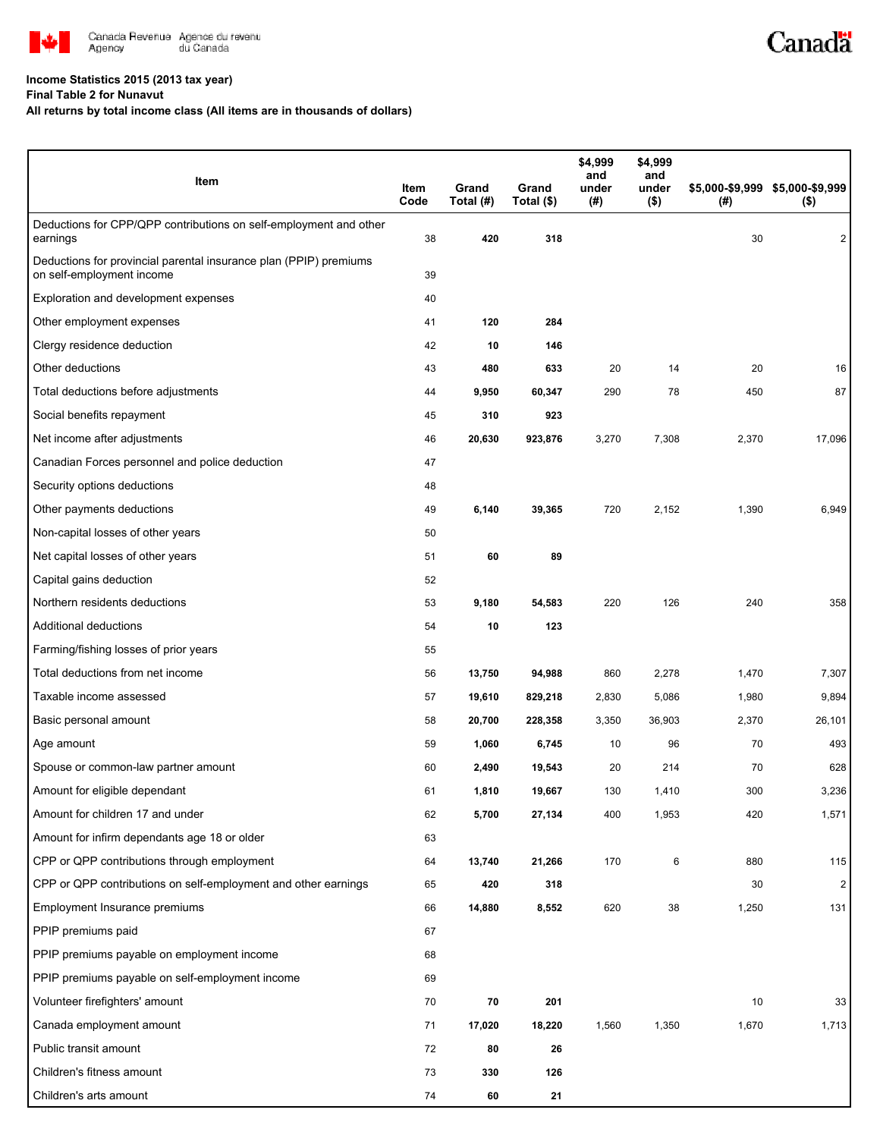

## **Income Statistics 2015 (2013 tax year)**

**Final Table 2 for Nunavut**

**All returns by total income class (All items are in thousands of dollars)**

| Item                                                                                           | Item<br>Code | Grand<br>Total (#) | Grand<br>Total (\$) | \$4,999<br>and<br>under<br>(#) | \$4,999<br>and<br>under<br>$($ \$) | (#)   | \$5,000-\$9,999 \$5,000-\$9,999<br>$($ \$) |
|------------------------------------------------------------------------------------------------|--------------|--------------------|---------------------|--------------------------------|------------------------------------|-------|--------------------------------------------|
| Deductions for CPP/QPP contributions on self-employment and other<br>earnings                  | 38           | 420                | 318                 |                                |                                    | 30    | 2                                          |
| Deductions for provincial parental insurance plan (PPIP) premiums<br>on self-employment income | 39           |                    |                     |                                |                                    |       |                                            |
| Exploration and development expenses                                                           | 40           |                    |                     |                                |                                    |       |                                            |
| Other employment expenses                                                                      | 41           | 120                | 284                 |                                |                                    |       |                                            |
| Clergy residence deduction                                                                     | 42           | 10                 | 146                 |                                |                                    |       |                                            |
| Other deductions                                                                               | 43           | 480                | 633                 | 20                             | 14                                 | 20    | 16                                         |
| Total deductions before adjustments                                                            | 44           | 9,950              | 60,347              | 290                            | 78                                 | 450   | 87                                         |
| Social benefits repayment                                                                      | 45           | 310                | 923                 |                                |                                    |       |                                            |
| Net income after adjustments                                                                   | 46           | 20,630             | 923,876             | 3,270                          | 7,308                              | 2,370 | 17,096                                     |
| Canadian Forces personnel and police deduction                                                 | 47           |                    |                     |                                |                                    |       |                                            |
| Security options deductions                                                                    | 48           |                    |                     |                                |                                    |       |                                            |
| Other payments deductions                                                                      | 49           | 6,140              | 39,365              | 720                            | 2,152                              | 1,390 | 6,949                                      |
| Non-capital losses of other years                                                              | 50           |                    |                     |                                |                                    |       |                                            |
| Net capital losses of other years                                                              | 51           | 60                 | 89                  |                                |                                    |       |                                            |
| Capital gains deduction                                                                        | 52           |                    |                     |                                |                                    |       |                                            |
| Northern residents deductions                                                                  | 53           | 9,180              | 54,583              | 220                            | 126                                | 240   | 358                                        |
| Additional deductions                                                                          | 54           | 10                 | 123                 |                                |                                    |       |                                            |
| Farming/fishing losses of prior years                                                          | 55           |                    |                     |                                |                                    |       |                                            |
| Total deductions from net income                                                               | 56           | 13,750             | 94,988              | 860                            | 2,278                              | 1,470 | 7,307                                      |
| Taxable income assessed                                                                        | 57           | 19,610             | 829,218             | 2,830                          | 5,086                              | 1,980 | 9,894                                      |
| Basic personal amount                                                                          | 58           | 20,700             | 228,358             | 3,350                          | 36,903                             | 2,370 | 26,101                                     |
| Age amount                                                                                     | 59           | 1,060              | 6,745               | 10                             | 96                                 | 70    | 493                                        |
| Spouse or common-law partner amount                                                            | 60           | 2,490              | 19,543              | 20                             | 214                                | 70    | 628                                        |
| Amount for eligible dependant                                                                  | 61           | 1,810              | 19,667              | 130                            | 1,410                              | 300   | 3,236                                      |
| Amount for children 17 and under                                                               | 62           | 5,700              | 27,134              | 400                            | 1,953                              | 420   | 1,571                                      |
| Amount for infirm dependants age 18 or older                                                   | 63           |                    |                     |                                |                                    |       |                                            |
| CPP or QPP contributions through employment                                                    | 64           | 13,740             | 21,266              | 170                            | 6                                  | 880   | 115                                        |
| CPP or QPP contributions on self-employment and other earnings                                 | 65           | 420                | 318                 |                                |                                    | 30    | $\sqrt{2}$                                 |
| Employment Insurance premiums                                                                  | 66           | 14,880             | 8,552               | 620                            | 38                                 | 1,250 | 131                                        |
| PPIP premiums paid                                                                             | 67           |                    |                     |                                |                                    |       |                                            |
| PPIP premiums payable on employment income                                                     | 68           |                    |                     |                                |                                    |       |                                            |
| PPIP premiums payable on self-employment income                                                | 69           |                    |                     |                                |                                    |       |                                            |
| Volunteer firefighters' amount                                                                 | 70           | 70                 | 201                 |                                |                                    | 10    | 33                                         |
| Canada employment amount                                                                       | 71           | 17,020             | 18,220              | 1,560                          | 1,350                              | 1,670 | 1,713                                      |
| Public transit amount                                                                          | 72           | 80                 | 26                  |                                |                                    |       |                                            |
| Children's fitness amount                                                                      | 73           | 330                | 126                 |                                |                                    |       |                                            |
| Children's arts amount                                                                         | 74           | 60                 | 21                  |                                |                                    |       |                                            |

Canadä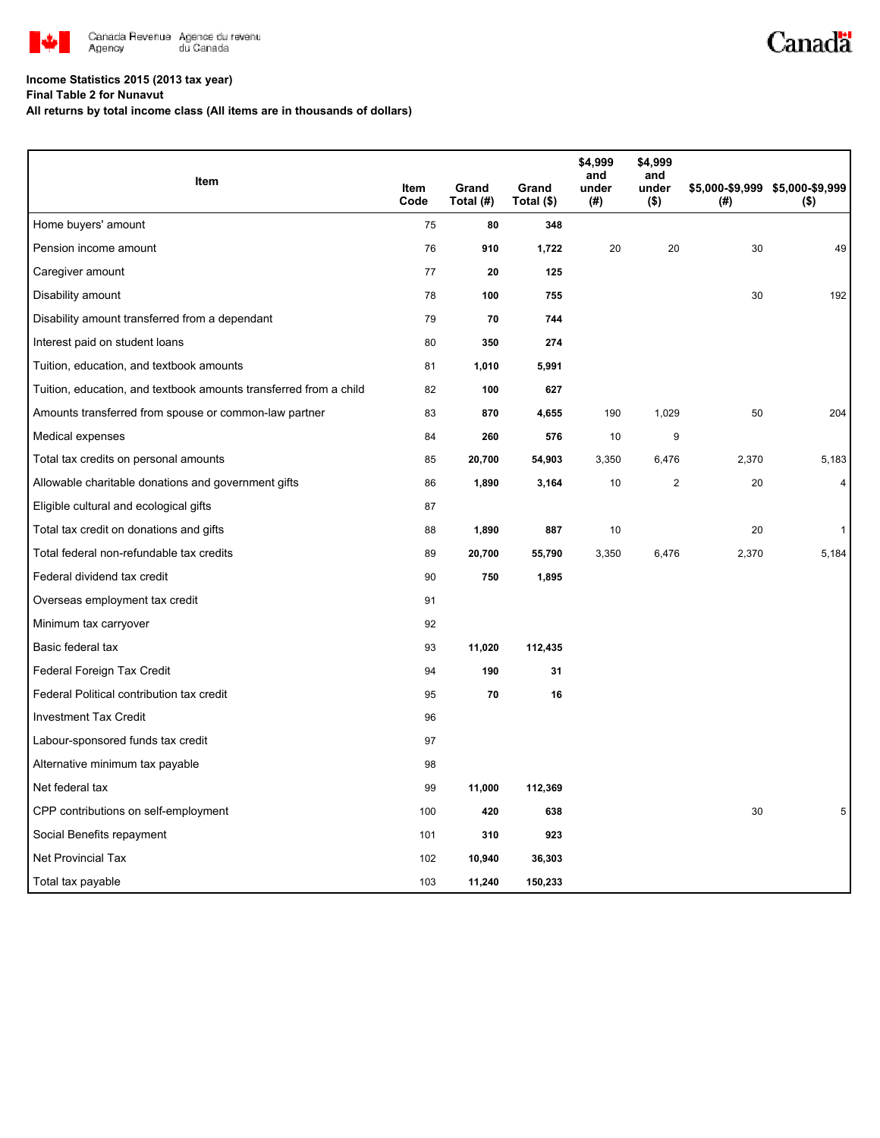

## **Income Statistics 2015 (2013 tax year)**

**Final Table 2 for Nunavut**

**All returns by total income class (All items are in thousands of dollars)**

| Item                                                              |              |                    |                     | \$4,999<br>and | \$4,999<br>and   |       |                                            |
|-------------------------------------------------------------------|--------------|--------------------|---------------------|----------------|------------------|-------|--------------------------------------------|
|                                                                   | Item<br>Code | Grand<br>Total (#) | Grand<br>Total (\$) | under<br>(#)   | under<br>$($ \$) | (#)   | \$5,000-\$9,999 \$5,000-\$9,999<br>$($ \$) |
| Home buyers' amount                                               | 75           | 80                 | 348                 |                |                  |       |                                            |
| Pension income amount                                             | 76           | 910                | 1,722               | 20             | 20               | 30    | 49                                         |
| Caregiver amount                                                  | 77           | 20                 | 125                 |                |                  |       |                                            |
| Disability amount                                                 | 78           | 100                | 755                 |                |                  | 30    | 192                                        |
| Disability amount transferred from a dependant                    | 79           | 70                 | 744                 |                |                  |       |                                            |
| Interest paid on student loans                                    | 80           | 350                | 274                 |                |                  |       |                                            |
| Tuition, education, and textbook amounts                          | 81           | 1,010              | 5,991               |                |                  |       |                                            |
| Tuition, education, and textbook amounts transferred from a child | 82           | 100                | 627                 |                |                  |       |                                            |
| Amounts transferred from spouse or common-law partner             | 83           | 870                | 4,655               | 190            | 1,029            | 50    | 204                                        |
| Medical expenses                                                  | 84           | 260                | 576                 | 10             | 9                |       |                                            |
| Total tax credits on personal amounts                             | 85           | 20,700             | 54,903              | 3,350          | 6,476            | 2,370 | 5,183                                      |
| Allowable charitable donations and government gifts               | 86           | 1,890              | 3,164               | 10             | $\mathbf{2}$     | 20    | $\overline{4}$                             |
| Eligible cultural and ecological gifts                            | 87           |                    |                     |                |                  |       |                                            |
| Total tax credit on donations and gifts                           | 88           | 1,890              | 887                 | 10             |                  | 20    | $\mathbf{1}$                               |
| Total federal non-refundable tax credits                          | 89           | 20,700             | 55,790              | 3,350          | 6,476            | 2,370 | 5,184                                      |
| Federal dividend tax credit                                       | 90           | 750                | 1,895               |                |                  |       |                                            |
| Overseas employment tax credit                                    | 91           |                    |                     |                |                  |       |                                            |
| Minimum tax carryover                                             | 92           |                    |                     |                |                  |       |                                            |
| Basic federal tax                                                 | 93           | 11,020             | 112,435             |                |                  |       |                                            |
| Federal Foreign Tax Credit                                        | 94           | 190                | 31                  |                |                  |       |                                            |
| Federal Political contribution tax credit                         | 95           | 70                 | 16                  |                |                  |       |                                            |
| <b>Investment Tax Credit</b>                                      | 96           |                    |                     |                |                  |       |                                            |
| Labour-sponsored funds tax credit                                 | 97           |                    |                     |                |                  |       |                                            |
| Alternative minimum tax payable                                   | 98           |                    |                     |                |                  |       |                                            |
| Net federal tax                                                   | 99           | 11,000             | 112,369             |                |                  |       |                                            |
| CPP contributions on self-employment                              | 100          | 420                | 638                 |                |                  | 30    |                                            |
| Social Benefits repayment                                         | 101          | 310                | 923                 |                |                  |       |                                            |
| Net Provincial Tax                                                | 102          | 10,940             | 36,303              |                |                  |       |                                            |
| Total tax payable                                                 | 103          | 11,240             | 150,233             |                |                  |       |                                            |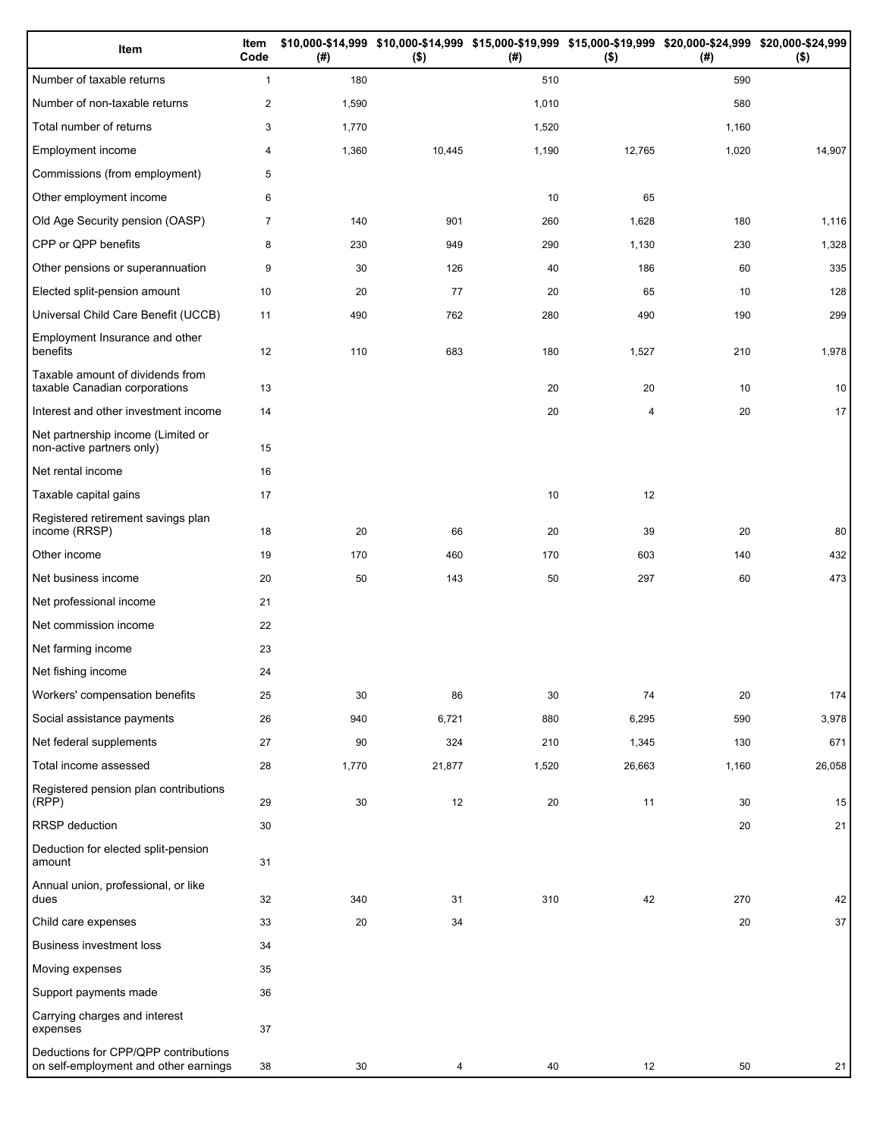| Item                                                                          | Item<br>Code   | (# )  | $($ \$) | (#)   | \$10,000-\$14,999 \$10,000-\$14,999 \$15,000-\$19,999 \$15,000-\$19,999 \$20,000-\$24,999 \$20,000-\$24,999<br>$($ \$) | (#)   | $($ \$) |
|-------------------------------------------------------------------------------|----------------|-------|---------|-------|------------------------------------------------------------------------------------------------------------------------|-------|---------|
| Number of taxable returns                                                     | $\mathbf{1}$   | 180   |         | 510   |                                                                                                                        | 590   |         |
| Number of non-taxable returns                                                 | $\overline{c}$ | 1,590 |         | 1,010 |                                                                                                                        | 580   |         |
| Total number of returns                                                       | 3              | 1,770 |         | 1,520 |                                                                                                                        | 1,160 |         |
| Employment income                                                             | 4              | 1,360 | 10,445  | 1,190 | 12,765                                                                                                                 | 1,020 | 14,907  |
| Commissions (from employment)                                                 | 5              |       |         |       |                                                                                                                        |       |         |
| Other employment income                                                       | 6              |       |         | 10    | 65                                                                                                                     |       |         |
| Old Age Security pension (OASP)                                               | 7              | 140   | 901     | 260   | 1,628                                                                                                                  | 180   | 1,116   |
| CPP or QPP benefits                                                           | 8              | 230   | 949     | 290   | 1,130                                                                                                                  | 230   | 1,328   |
| Other pensions or superannuation                                              | 9              | 30    | 126     | 40    | 186                                                                                                                    | 60    | 335     |
| Elected split-pension amount                                                  | 10             | 20    | 77      | 20    | 65                                                                                                                     | 10    | 128     |
| Universal Child Care Benefit (UCCB)                                           | 11             | 490   | 762     | 280   | 490                                                                                                                    | 190   | 299     |
| Employment Insurance and other<br>benefits                                    | 12             | 110   | 683     | 180   | 1,527                                                                                                                  | 210   | 1,978   |
| Taxable amount of dividends from<br>taxable Canadian corporations             | 13             |       |         | 20    | 20                                                                                                                     | 10    | 10      |
| Interest and other investment income                                          | 14             |       |         | 20    | 4                                                                                                                      | 20    | 17      |
| Net partnership income (Limited or<br>non-active partners only)               | 15             |       |         |       |                                                                                                                        |       |         |
| Net rental income                                                             | 16             |       |         |       |                                                                                                                        |       |         |
| Taxable capital gains                                                         | 17             |       |         | 10    | 12                                                                                                                     |       |         |
| Registered retirement savings plan<br>income (RRSP)                           | 18             | 20    | 66      | 20    | 39                                                                                                                     | 20    | 80      |
| Other income                                                                  | 19             | 170   | 460     | 170   | 603                                                                                                                    | 140   | 432     |
| Net business income                                                           | 20             | 50    | 143     | 50    | 297                                                                                                                    | 60    | 473     |
| Net professional income                                                       | 21             |       |         |       |                                                                                                                        |       |         |
| Net commission income                                                         | 22             |       |         |       |                                                                                                                        |       |         |
| Net farming income                                                            | 23             |       |         |       |                                                                                                                        |       |         |
| Net fishing income                                                            | 24             |       |         |       |                                                                                                                        |       |         |
| Workers' compensation benefits                                                | 25             | 30    | 86      | 30    | 74                                                                                                                     | 20    | 174     |
| Social assistance payments                                                    | 26             | 940   | 6,721   | 880   | 6,295                                                                                                                  | 590   | 3,978   |
| Net federal supplements                                                       | 27             | 90    | 324     | 210   | 1,345                                                                                                                  | 130   | 671     |
| Total income assessed                                                         | 28             | 1,770 | 21,877  | 1,520 | 26,663                                                                                                                 | 1,160 | 26,058  |
| Registered pension plan contributions<br>(RPP)                                | 29             | 30    | 12      | 20    | 11                                                                                                                     | 30    | 15      |
| RRSP deduction                                                                | 30             |       |         |       |                                                                                                                        | 20    | 21      |
| Deduction for elected split-pension<br>amount                                 | 31             |       |         |       |                                                                                                                        |       |         |
| Annual union, professional, or like<br>dues                                   | 32             | 340   | 31      | 310   | 42                                                                                                                     | 270   | 42      |
| Child care expenses                                                           | 33             | 20    | 34      |       |                                                                                                                        | 20    | $37\,$  |
| <b>Business investment loss</b>                                               | 34             |       |         |       |                                                                                                                        |       |         |
| Moving expenses                                                               | 35             |       |         |       |                                                                                                                        |       |         |
| Support payments made                                                         | 36             |       |         |       |                                                                                                                        |       |         |
| Carrying charges and interest<br>expenses                                     | 37             |       |         |       |                                                                                                                        |       |         |
| Deductions for CPP/QPP contributions<br>on self-employment and other earnings | 38             | 30    | 4       | 40    | 12                                                                                                                     | 50    | 21      |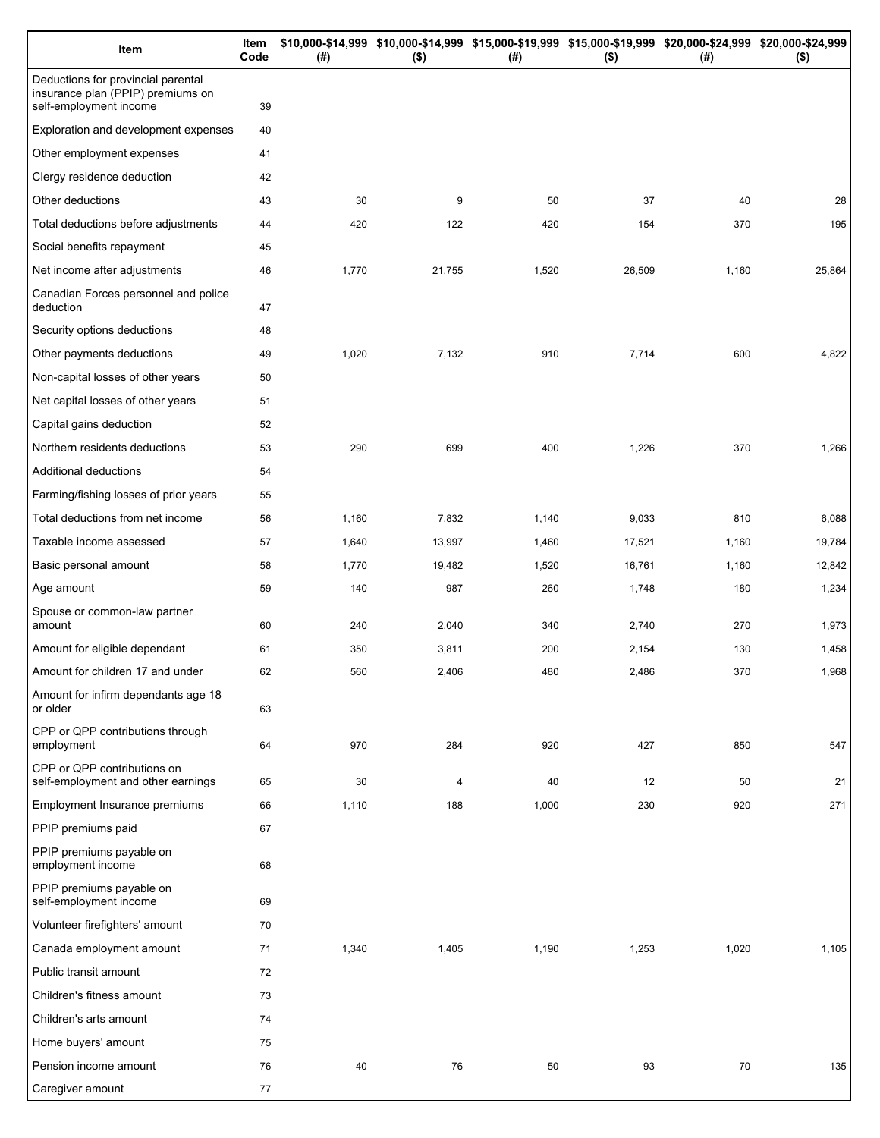| Item                                                                                              | Item<br>Code | (# )  | \$10,000-\$14,999 \$10,000-\$14,999 \$15,000-\$19,999 \$15,000-\$19,999 \$20,000-\$24,999 \$20,000-\$24,999<br>$($ \$) | $($ #) | $($ \$) | (# )  | $($ \$) |
|---------------------------------------------------------------------------------------------------|--------------|-------|------------------------------------------------------------------------------------------------------------------------|--------|---------|-------|---------|
| Deductions for provincial parental<br>insurance plan (PPIP) premiums on<br>self-employment income | 39           |       |                                                                                                                        |        |         |       |         |
| Exploration and development expenses                                                              | 40           |       |                                                                                                                        |        |         |       |         |
| Other employment expenses                                                                         | 41           |       |                                                                                                                        |        |         |       |         |
| Clergy residence deduction                                                                        | 42           |       |                                                                                                                        |        |         |       |         |
| Other deductions                                                                                  | 43           | 30    | 9                                                                                                                      | 50     | 37      | 40    | 28      |
| Total deductions before adjustments                                                               | 44           | 420   | 122                                                                                                                    | 420    | 154     | 370   | 195     |
| Social benefits repayment                                                                         | 45           |       |                                                                                                                        |        |         |       |         |
| Net income after adjustments                                                                      | 46           | 1,770 | 21,755                                                                                                                 | 1,520  | 26,509  | 1,160 | 25,864  |
| Canadian Forces personnel and police<br>deduction                                                 | 47           |       |                                                                                                                        |        |         |       |         |
| Security options deductions                                                                       | 48           |       |                                                                                                                        |        |         |       |         |
| Other payments deductions                                                                         | 49           | 1,020 | 7,132                                                                                                                  | 910    | 7,714   | 600   | 4,822   |
| Non-capital losses of other years                                                                 | 50           |       |                                                                                                                        |        |         |       |         |
| Net capital losses of other years                                                                 | 51           |       |                                                                                                                        |        |         |       |         |
| Capital gains deduction                                                                           | 52           |       |                                                                                                                        |        |         |       |         |
| Northern residents deductions                                                                     | 53           | 290   | 699                                                                                                                    | 400    | 1,226   | 370   | 1,266   |
| Additional deductions                                                                             | 54           |       |                                                                                                                        |        |         |       |         |
| Farming/fishing losses of prior years                                                             | 55           |       |                                                                                                                        |        |         |       |         |
| Total deductions from net income                                                                  | 56           | 1,160 | 7,832                                                                                                                  | 1,140  | 9,033   | 810   | 6,088   |
| Taxable income assessed                                                                           | 57           | 1,640 | 13,997                                                                                                                 | 1,460  | 17,521  | 1,160 | 19,784  |
| Basic personal amount                                                                             | 58           | 1,770 | 19,482                                                                                                                 | 1,520  | 16,761  | 1,160 | 12,842  |
| Age amount                                                                                        | 59           | 140   | 987                                                                                                                    | 260    | 1,748   | 180   | 1,234   |
| Spouse or common-law partner<br>amount                                                            | 60           | 240   | 2,040                                                                                                                  | 340    | 2,740   | 270   | 1,973   |
| Amount for eligible dependant                                                                     | 61           | 350   | 3,811                                                                                                                  | 200    | 2,154   | 130   | 1,458   |
| Amount for children 17 and under                                                                  | 62           | 560   | 2,406                                                                                                                  | 480    | 2,486   | 370   | 1,968   |
| Amount for infirm dependants age 18<br>or older                                                   | 63           |       |                                                                                                                        |        |         |       |         |
| CPP or QPP contributions through<br>employment                                                    | 64           | 970   | 284                                                                                                                    | 920    | 427     | 850   | 547     |
| CPP or QPP contributions on<br>self-employment and other earnings                                 | 65           | 30    | 4                                                                                                                      | 40     | 12      | 50    | 21      |
| <b>Employment Insurance premiums</b>                                                              | 66           | 1,110 | 188                                                                                                                    | 1,000  | 230     | 920   | 271     |
| PPIP premiums paid                                                                                | 67           |       |                                                                                                                        |        |         |       |         |
| PPIP premiums payable on<br>employment income                                                     | 68           |       |                                                                                                                        |        |         |       |         |
| PPIP premiums payable on<br>self-employment income                                                | 69           |       |                                                                                                                        |        |         |       |         |
| Volunteer firefighters' amount                                                                    | 70           |       |                                                                                                                        |        |         |       |         |
| Canada employment amount                                                                          | 71           | 1,340 | 1,405                                                                                                                  | 1,190  | 1,253   | 1,020 | 1,105   |
| Public transit amount                                                                             | 72           |       |                                                                                                                        |        |         |       |         |
| Children's fitness amount                                                                         | 73           |       |                                                                                                                        |        |         |       |         |
| Children's arts amount                                                                            | 74           |       |                                                                                                                        |        |         |       |         |
| Home buyers' amount                                                                               | 75           |       |                                                                                                                        |        |         |       |         |
| Pension income amount                                                                             | 76           | 40    | 76                                                                                                                     | 50     | 93      | 70    | 135     |
| Caregiver amount                                                                                  | 77           |       |                                                                                                                        |        |         |       |         |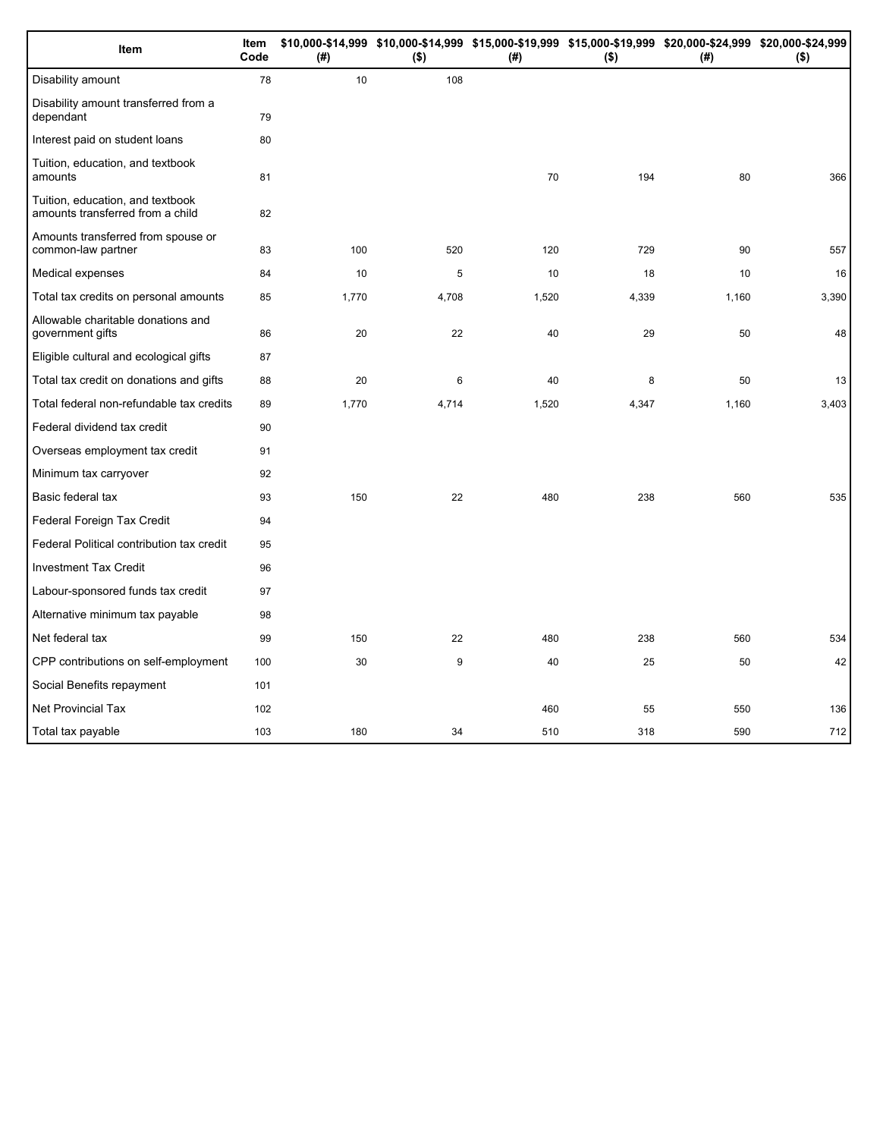| Item                                                                 | Item<br>Code | (# )  | $($ \$) | (#)   | $($ \$) | \$10,000-\$14,999 \$10,000-\$14,999 \$15,000-\$19,999 \$15,000-\$19,999 \$20,000-\$24,999 \$20,000-\$24,999<br>(#) | $($ \$) |
|----------------------------------------------------------------------|--------------|-------|---------|-------|---------|--------------------------------------------------------------------------------------------------------------------|---------|
| Disability amount                                                    | 78           | 10    | 108     |       |         |                                                                                                                    |         |
| Disability amount transferred from a<br>dependant                    | 79           |       |         |       |         |                                                                                                                    |         |
| Interest paid on student loans                                       | 80           |       |         |       |         |                                                                                                                    |         |
| Tuition, education, and textbook<br>amounts                          | 81           |       |         | 70    | 194     | 80                                                                                                                 | 366     |
| Tuition, education, and textbook<br>amounts transferred from a child | 82           |       |         |       |         |                                                                                                                    |         |
| Amounts transferred from spouse or<br>common-law partner             | 83           | 100   | 520     | 120   | 729     | 90                                                                                                                 | 557     |
| Medical expenses                                                     | 84           | 10    | 5       | 10    | 18      | 10                                                                                                                 | 16      |
| Total tax credits on personal amounts                                | 85           | 1,770 | 4,708   | 1,520 | 4,339   | 1,160                                                                                                              | 3,390   |
| Allowable charitable donations and<br>government gifts               | 86           | 20    | 22      | 40    | 29      | 50                                                                                                                 | 48      |
| Eligible cultural and ecological gifts                               | 87           |       |         |       |         |                                                                                                                    |         |
| Total tax credit on donations and gifts                              | 88           | 20    | 6       | 40    | 8       | 50                                                                                                                 | 13      |
| Total federal non-refundable tax credits                             | 89           | 1,770 | 4,714   | 1,520 | 4,347   | 1,160                                                                                                              | 3,403   |
| Federal dividend tax credit                                          | 90           |       |         |       |         |                                                                                                                    |         |
| Overseas employment tax credit                                       | 91           |       |         |       |         |                                                                                                                    |         |
| Minimum tax carryover                                                | 92           |       |         |       |         |                                                                                                                    |         |
| Basic federal tax                                                    | 93           | 150   | 22      | 480   | 238     | 560                                                                                                                | 535     |
| Federal Foreign Tax Credit                                           | 94           |       |         |       |         |                                                                                                                    |         |
| Federal Political contribution tax credit                            | 95           |       |         |       |         |                                                                                                                    |         |
| <b>Investment Tax Credit</b>                                         | 96           |       |         |       |         |                                                                                                                    |         |
| Labour-sponsored funds tax credit                                    | 97           |       |         |       |         |                                                                                                                    |         |
| Alternative minimum tax payable                                      | 98           |       |         |       |         |                                                                                                                    |         |
| Net federal tax                                                      | 99           | 150   | 22      | 480   | 238     | 560                                                                                                                | 534     |
| CPP contributions on self-employment                                 | 100          | 30    | 9       | 40    | 25      | 50                                                                                                                 | 42      |
| Social Benefits repayment                                            | 101          |       |         |       |         |                                                                                                                    |         |
| Net Provincial Tax                                                   | 102          |       |         | 460   | 55      | 550                                                                                                                | 136     |
| Total tax payable                                                    | 103          | 180   | 34      | 510   | 318     | 590                                                                                                                | 712     |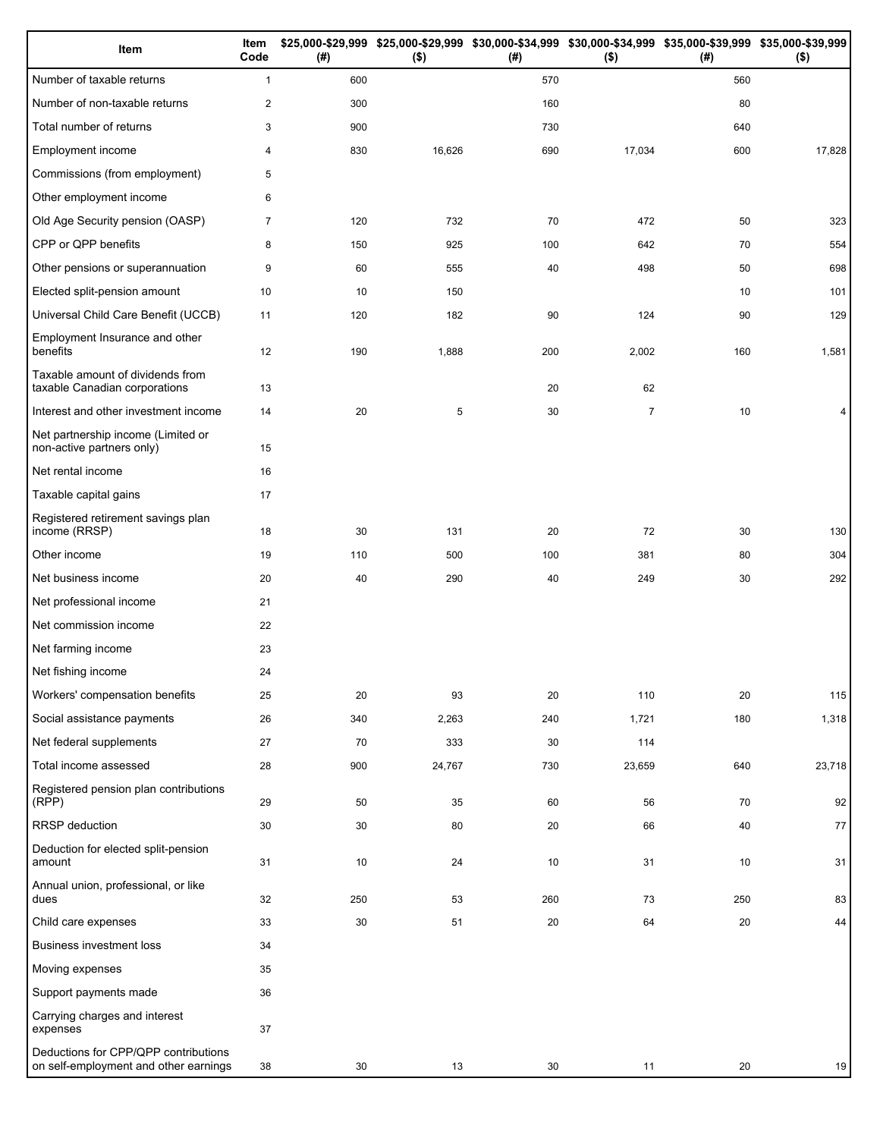| Item                                                                          | Item<br>Code   | (#) | $($ \$) | (#) | \$25,000-\$29,999 \$25,000-\$29,999 \$30,000-\$34,999 \$30,000-\$34,999 \$35,000-\$39,999 \$35,000-\$39,999<br>$($ \$) | (#) | $($ \$) |
|-------------------------------------------------------------------------------|----------------|-----|---------|-----|------------------------------------------------------------------------------------------------------------------------|-----|---------|
| Number of taxable returns                                                     | $\mathbf{1}$   | 600 |         | 570 |                                                                                                                        | 560 |         |
| Number of non-taxable returns                                                 | $\overline{c}$ | 300 |         | 160 |                                                                                                                        | 80  |         |
| Total number of returns                                                       | 3              | 900 |         | 730 |                                                                                                                        | 640 |         |
| Employment income                                                             | 4              | 830 | 16,626  | 690 | 17,034                                                                                                                 | 600 | 17,828  |
| Commissions (from employment)                                                 | 5              |     |         |     |                                                                                                                        |     |         |
| Other employment income                                                       | 6              |     |         |     |                                                                                                                        |     |         |
| Old Age Security pension (OASP)                                               | 7              | 120 | 732     | 70  | 472                                                                                                                    | 50  | 323     |
| CPP or QPP benefits                                                           | 8              | 150 | 925     | 100 | 642                                                                                                                    | 70  | 554     |
| Other pensions or superannuation                                              | 9              | 60  | 555     | 40  | 498                                                                                                                    | 50  | 698     |
| Elected split-pension amount                                                  | 10             | 10  | 150     |     |                                                                                                                        | 10  | 101     |
| Universal Child Care Benefit (UCCB)                                           | 11             | 120 | 182     | 90  | 124                                                                                                                    | 90  | 129     |
| Employment Insurance and other<br>benefits                                    | 12             | 190 | 1,888   | 200 | 2,002                                                                                                                  | 160 | 1,581   |
| Taxable amount of dividends from<br>taxable Canadian corporations             | 13             |     |         | 20  | 62                                                                                                                     |     |         |
| Interest and other investment income                                          | 14             | 20  | 5       | 30  | $\overline{7}$                                                                                                         | 10  |         |
| Net partnership income (Limited or<br>non-active partners only)               | 15             |     |         |     |                                                                                                                        |     |         |
| Net rental income                                                             | 16             |     |         |     |                                                                                                                        |     |         |
| Taxable capital gains                                                         | 17             |     |         |     |                                                                                                                        |     |         |
| Registered retirement savings plan<br>income (RRSP)                           | 18             | 30  | 131     | 20  | 72                                                                                                                     | 30  | 130     |
| Other income                                                                  | 19             | 110 | 500     | 100 | 381                                                                                                                    | 80  | 304     |
| Net business income                                                           | 20             | 40  | 290     | 40  | 249                                                                                                                    | 30  | 292     |
| Net professional income                                                       | 21             |     |         |     |                                                                                                                        |     |         |
| Net commission income                                                         | 22             |     |         |     |                                                                                                                        |     |         |
| Net farming income                                                            | 23             |     |         |     |                                                                                                                        |     |         |
| Net fishing income                                                            | 24             |     |         |     |                                                                                                                        |     |         |
| Workers' compensation benefits                                                | 25             | 20  | 93      | 20  | 110                                                                                                                    | 20  | 115     |
| Social assistance payments                                                    | 26             | 340 | 2,263   | 240 | 1,721                                                                                                                  | 180 | 1,318   |
| Net federal supplements                                                       | 27             | 70  | 333     | 30  | 114                                                                                                                    |     |         |
| Total income assessed                                                         | 28             | 900 | 24,767  | 730 | 23,659                                                                                                                 | 640 | 23,718  |
| Registered pension plan contributions<br>(RPP)                                | 29             | 50  | 35      | 60  | 56                                                                                                                     | 70  | 92      |
| RRSP deduction                                                                | 30             | 30  | 80      | 20  | 66                                                                                                                     | 40  | 77      |
| Deduction for elected split-pension<br>amount                                 | 31             | 10  | 24      | 10  | 31                                                                                                                     | 10  | 31      |
| Annual union, professional, or like<br>dues                                   | 32             | 250 | 53      | 260 | 73                                                                                                                     | 250 | 83      |
| Child care expenses                                                           | 33             | 30  | 51      | 20  | 64                                                                                                                     | 20  | 44      |
| <b>Business investment loss</b>                                               | 34             |     |         |     |                                                                                                                        |     |         |
| Moving expenses                                                               | 35             |     |         |     |                                                                                                                        |     |         |
| Support payments made                                                         | 36             |     |         |     |                                                                                                                        |     |         |
| Carrying charges and interest<br>expenses                                     | 37             |     |         |     |                                                                                                                        |     |         |
| Deductions for CPP/QPP contributions<br>on self-employment and other earnings | 38             | 30  | 13      | 30  | 11                                                                                                                     | 20  | 19      |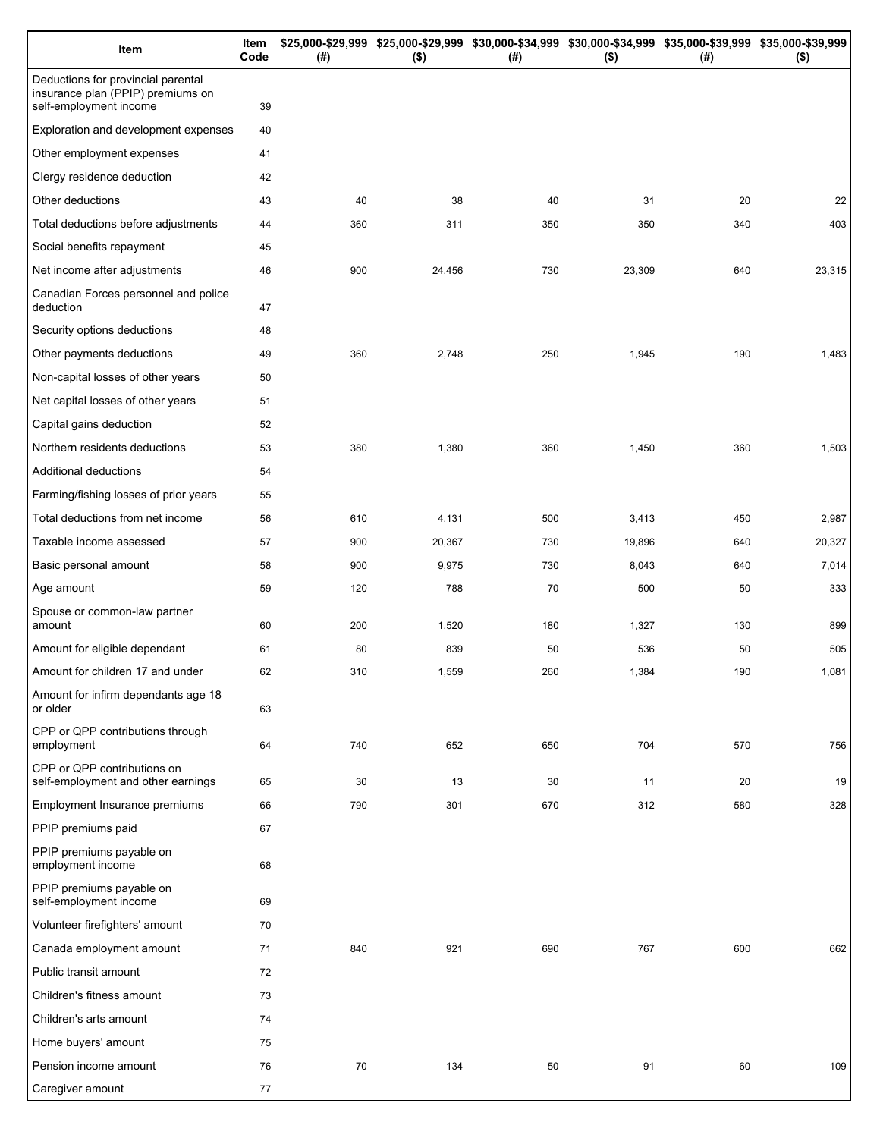| Item                                                                                              | Item<br>Code | (# ) | \$25,000-\$29,999 \$25,000-\$29,999 \$30,000-\$34,999 \$30,000-\$34,999 \$35,000-\$39,999 \$35,000-\$39,999<br>$($ \$) | $($ #) | $($ \$) | (# ) | $($ \$) |
|---------------------------------------------------------------------------------------------------|--------------|------|------------------------------------------------------------------------------------------------------------------------|--------|---------|------|---------|
| Deductions for provincial parental<br>insurance plan (PPIP) premiums on<br>self-employment income | 39           |      |                                                                                                                        |        |         |      |         |
| Exploration and development expenses                                                              | 40           |      |                                                                                                                        |        |         |      |         |
| Other employment expenses                                                                         | 41           |      |                                                                                                                        |        |         |      |         |
| Clergy residence deduction                                                                        | 42           |      |                                                                                                                        |        |         |      |         |
| Other deductions                                                                                  | 43           | 40   | 38                                                                                                                     | 40     | 31      | 20   | 22      |
| Total deductions before adjustments                                                               | 44           | 360  | 311                                                                                                                    | 350    | 350     | 340  | 403     |
| Social benefits repayment                                                                         | 45           |      |                                                                                                                        |        |         |      |         |
| Net income after adjustments                                                                      | 46           | 900  | 24,456                                                                                                                 | 730    | 23,309  | 640  | 23,315  |
| Canadian Forces personnel and police                                                              |              |      |                                                                                                                        |        |         |      |         |
| deduction                                                                                         | 47           |      |                                                                                                                        |        |         |      |         |
| Security options deductions                                                                       | 48           |      |                                                                                                                        |        |         |      |         |
| Other payments deductions                                                                         | 49           | 360  | 2,748                                                                                                                  | 250    | 1,945   | 190  | 1,483   |
| Non-capital losses of other years                                                                 | 50           |      |                                                                                                                        |        |         |      |         |
| Net capital losses of other years                                                                 | 51           |      |                                                                                                                        |        |         |      |         |
| Capital gains deduction                                                                           | 52           |      |                                                                                                                        |        |         |      |         |
| Northern residents deductions                                                                     | 53           | 380  | 1,380                                                                                                                  | 360    | 1,450   | 360  | 1,503   |
| Additional deductions                                                                             | 54           |      |                                                                                                                        |        |         |      |         |
| Farming/fishing losses of prior years                                                             | 55           |      |                                                                                                                        |        |         |      |         |
| Total deductions from net income                                                                  | 56           | 610  | 4,131                                                                                                                  | 500    | 3,413   | 450  | 2,987   |
| Taxable income assessed                                                                           | 57           | 900  | 20,367                                                                                                                 | 730    | 19,896  | 640  | 20,327  |
| Basic personal amount                                                                             | 58           | 900  | 9,975                                                                                                                  | 730    | 8,043   | 640  | 7,014   |
| Age amount                                                                                        | 59           | 120  | 788                                                                                                                    | 70     | 500     | 50   | 333     |
| Spouse or common-law partner<br>amount                                                            | 60           | 200  | 1,520                                                                                                                  | 180    | 1,327   | 130  | 899     |
| Amount for eligible dependant                                                                     | 61           | 80   | 839                                                                                                                    | 50     | 536     | 50   | 505     |
| Amount for children 17 and under                                                                  | 62           | 310  | 1,559                                                                                                                  | 260    | 1,384   | 190  | 1,081   |
| Amount for infirm dependants age 18<br>or older                                                   | 63           |      |                                                                                                                        |        |         |      |         |
| CPP or QPP contributions through                                                                  |              |      |                                                                                                                        |        |         |      |         |
| employment                                                                                        | 64           | 740  | 652                                                                                                                    | 650    | 704     | 570  | 756     |
| CPP or QPP contributions on<br>self-employment and other earnings                                 | 65           | 30   | 13                                                                                                                     | 30     | 11      | 20   | 19      |
| <b>Employment Insurance premiums</b>                                                              | 66           | 790  | 301                                                                                                                    | 670    | 312     | 580  | 328     |
| PPIP premiums paid                                                                                | 67           |      |                                                                                                                        |        |         |      |         |
| PPIP premiums payable on<br>employment income                                                     | 68           |      |                                                                                                                        |        |         |      |         |
| PPIP premiums payable on<br>self-employment income                                                | 69           |      |                                                                                                                        |        |         |      |         |
| Volunteer firefighters' amount                                                                    | 70           |      |                                                                                                                        |        |         |      |         |
| Canada employment amount                                                                          | 71           | 840  | 921                                                                                                                    | 690    | 767     | 600  | 662     |
| Public transit amount                                                                             | 72           |      |                                                                                                                        |        |         |      |         |
| Children's fitness amount                                                                         | 73           |      |                                                                                                                        |        |         |      |         |
| Children's arts amount                                                                            | 74           |      |                                                                                                                        |        |         |      |         |
| Home buyers' amount                                                                               | 75           |      |                                                                                                                        |        |         |      |         |
| Pension income amount                                                                             | 76           | 70   | 134                                                                                                                    | 50     | 91      | 60   | 109     |
| Caregiver amount                                                                                  | 77           |      |                                                                                                                        |        |         |      |         |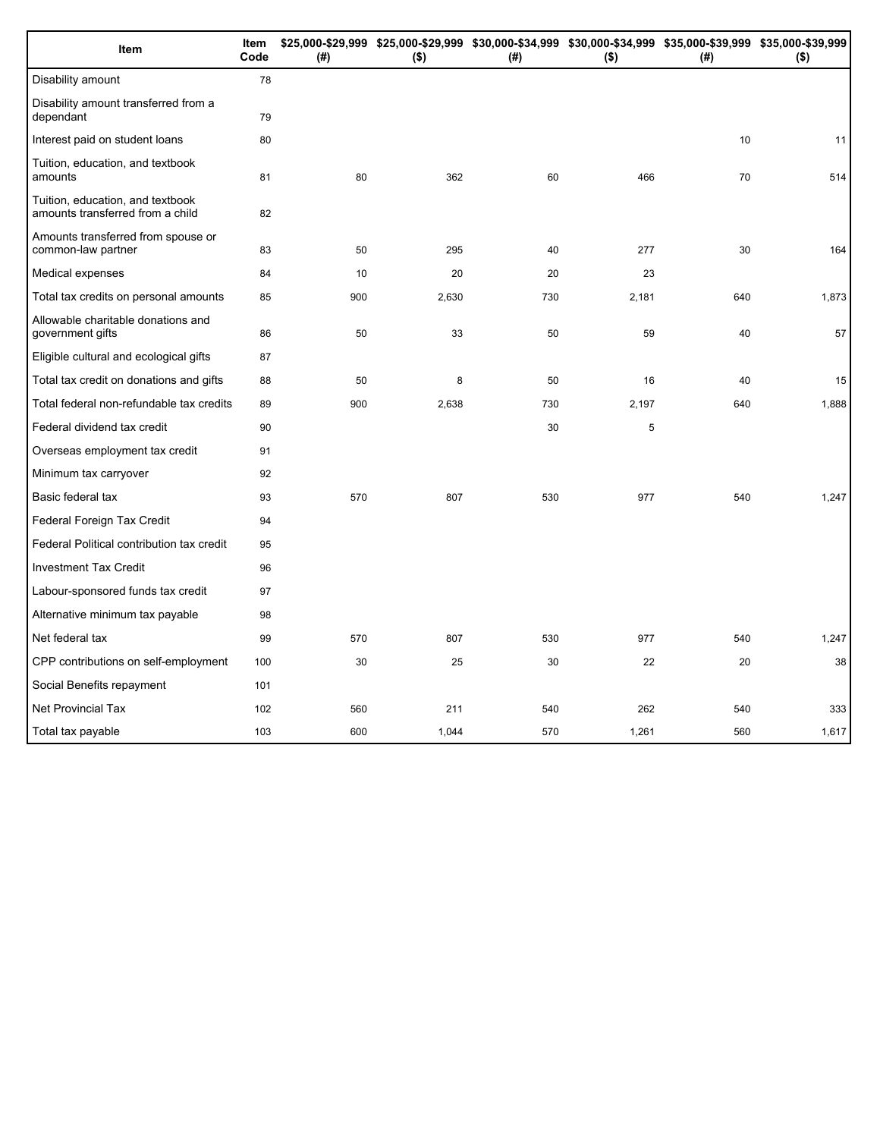| Item                                                                 | Item<br>Code | (# ) | $($ \$) | (#) | $($ \$) | \$25,000-\$29,999 \$25,000-\$29,999 \$30,000-\$34,999 \$30,000-\$34,999 \$35,000-\$39,999 \$35,000-\$39,999<br>(#) | $($ \$) |
|----------------------------------------------------------------------|--------------|------|---------|-----|---------|--------------------------------------------------------------------------------------------------------------------|---------|
| Disability amount                                                    | 78           |      |         |     |         |                                                                                                                    |         |
| Disability amount transferred from a<br>dependant                    | 79           |      |         |     |         |                                                                                                                    |         |
| Interest paid on student loans                                       | 80           |      |         |     |         | 10                                                                                                                 | 11      |
| Tuition, education, and textbook<br>amounts                          | 81           | 80   | 362     | 60  | 466     | 70                                                                                                                 | 514     |
| Tuition, education, and textbook<br>amounts transferred from a child | 82           |      |         |     |         |                                                                                                                    |         |
| Amounts transferred from spouse or<br>common-law partner             | 83           | 50   | 295     | 40  | 277     | 30                                                                                                                 | 164     |
| Medical expenses                                                     | 84           | 10   | 20      | 20  | 23      |                                                                                                                    |         |
| Total tax credits on personal amounts                                | 85           | 900  | 2,630   | 730 | 2,181   | 640                                                                                                                | 1,873   |
| Allowable charitable donations and<br>government gifts               | 86           | 50   | 33      | 50  | 59      | 40                                                                                                                 | 57      |
| Eligible cultural and ecological gifts                               | 87           |      |         |     |         |                                                                                                                    |         |
| Total tax credit on donations and gifts                              | 88           | 50   | 8       | 50  | 16      | 40                                                                                                                 | 15      |
| Total federal non-refundable tax credits                             | 89           | 900  | 2,638   | 730 | 2,197   | 640                                                                                                                | 1,888   |
| Federal dividend tax credit                                          | 90           |      |         | 30  | 5       |                                                                                                                    |         |
| Overseas employment tax credit                                       | 91           |      |         |     |         |                                                                                                                    |         |
| Minimum tax carryover                                                | 92           |      |         |     |         |                                                                                                                    |         |
| Basic federal tax                                                    | 93           | 570  | 807     | 530 | 977     | 540                                                                                                                | 1,247   |
| Federal Foreign Tax Credit                                           | 94           |      |         |     |         |                                                                                                                    |         |
| Federal Political contribution tax credit                            | 95           |      |         |     |         |                                                                                                                    |         |
| <b>Investment Tax Credit</b>                                         | 96           |      |         |     |         |                                                                                                                    |         |
| Labour-sponsored funds tax credit                                    | 97           |      |         |     |         |                                                                                                                    |         |
| Alternative minimum tax payable                                      | 98           |      |         |     |         |                                                                                                                    |         |
| Net federal tax                                                      | 99           | 570  | 807     | 530 | 977     | 540                                                                                                                | 1,247   |
| CPP contributions on self-employment                                 | 100          | 30   | 25      | 30  | 22      | 20                                                                                                                 | 38      |
| Social Benefits repayment                                            | 101          |      |         |     |         |                                                                                                                    |         |
| <b>Net Provincial Tax</b>                                            | 102          | 560  | 211     | 540 | 262     | 540                                                                                                                | 333     |
| Total tax payable                                                    | 103          | 600  | 1,044   | 570 | 1,261   | 560                                                                                                                | 1,617   |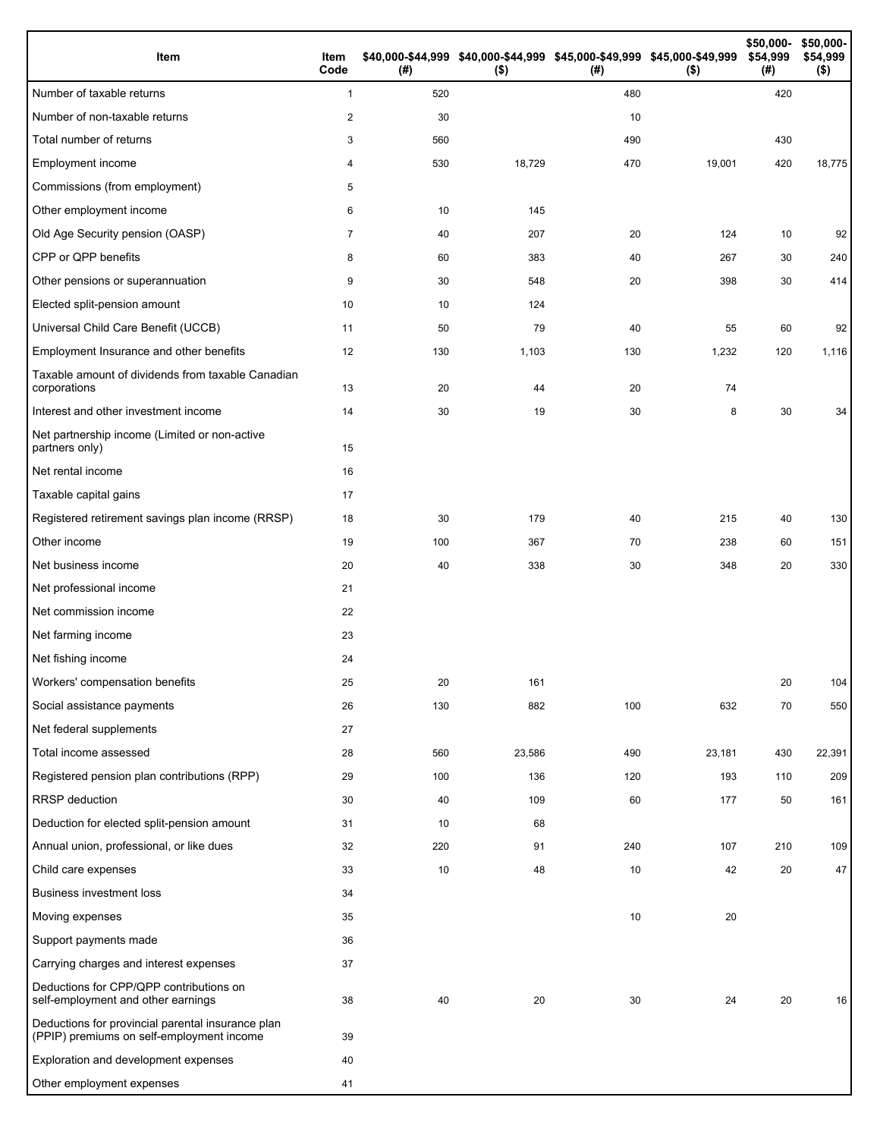| Item                                                                                           | Item<br>Code | (#) | \$40,000-\$44,999 \$40,000-\$44,999 \$45,000-\$49,999 \$45,000-\$49,999<br>$($ \$) | (#) | $($ \$) | \$50,000-<br>\$54,999<br>(#) | \$50,000-<br>\$54,999<br>$($ \$) |
|------------------------------------------------------------------------------------------------|--------------|-----|------------------------------------------------------------------------------------|-----|---------|------------------------------|----------------------------------|
| Number of taxable returns                                                                      | $\mathbf{1}$ | 520 |                                                                                    | 480 |         | 420                          |                                  |
| Number of non-taxable returns                                                                  | $\sqrt{2}$   | 30  |                                                                                    | 10  |         |                              |                                  |
| Total number of returns                                                                        | 3            | 560 |                                                                                    | 490 |         | 430                          |                                  |
| Employment income                                                                              | 4            | 530 | 18,729                                                                             | 470 | 19,001  | 420                          | 18,775                           |
| Commissions (from employment)                                                                  | 5            |     |                                                                                    |     |         |                              |                                  |
| Other employment income                                                                        | 6            | 10  | 145                                                                                |     |         |                              |                                  |
| Old Age Security pension (OASP)                                                                | 7            | 40  | 207                                                                                | 20  | 124     | 10                           | 92                               |
| CPP or QPP benefits                                                                            | 8            | 60  | 383                                                                                | 40  | 267     | 30                           | 240                              |
| Other pensions or superannuation                                                               | 9            | 30  | 548                                                                                | 20  | 398     | 30                           | 414                              |
| Elected split-pension amount                                                                   | 10           | 10  | 124                                                                                |     |         |                              |                                  |
| Universal Child Care Benefit (UCCB)                                                            | 11           | 50  | 79                                                                                 | 40  | 55      | 60                           | 92                               |
| Employment Insurance and other benefits                                                        | 12           | 130 | 1,103                                                                              | 130 | 1,232   | 120                          | 1,116                            |
| Taxable amount of dividends from taxable Canadian<br>corporations                              | 13           | 20  | 44                                                                                 | 20  | 74      |                              |                                  |
| Interest and other investment income                                                           | 14           | 30  | 19                                                                                 | 30  | 8       | 30                           | 34                               |
| Net partnership income (Limited or non-active<br>partners only)                                | 15           |     |                                                                                    |     |         |                              |                                  |
| Net rental income                                                                              | 16           |     |                                                                                    |     |         |                              |                                  |
| Taxable capital gains                                                                          | 17           |     |                                                                                    |     |         |                              |                                  |
| Registered retirement savings plan income (RRSP)                                               | 18           | 30  | 179                                                                                | 40  | 215     | 40                           | 130                              |
| Other income                                                                                   | 19           | 100 | 367                                                                                | 70  | 238     | 60                           | 151                              |
| Net business income                                                                            | 20           | 40  | 338                                                                                | 30  | 348     | 20                           | 330                              |
| Net professional income                                                                        | 21           |     |                                                                                    |     |         |                              |                                  |
| Net commission income                                                                          | 22           |     |                                                                                    |     |         |                              |                                  |
| Net farming income                                                                             | 23           |     |                                                                                    |     |         |                              |                                  |
| Net fishing income                                                                             | 24           |     |                                                                                    |     |         |                              |                                  |
| Workers' compensation benefits                                                                 | 25           | 20  | 161                                                                                |     |         | 20                           | 104                              |
| Social assistance payments                                                                     | 26           | 130 | 882                                                                                | 100 | 632     | 70                           | 550                              |
| Net federal supplements                                                                        | 27           |     |                                                                                    |     |         |                              |                                  |
| Total income assessed                                                                          | 28           | 560 | 23,586                                                                             | 490 | 23,181  | 430                          | 22,391                           |
| Registered pension plan contributions (RPP)                                                    | 29           | 100 | 136                                                                                | 120 | 193     | 110                          | 209                              |
| <b>RRSP</b> deduction                                                                          | 30           | 40  | 109                                                                                | 60  | 177     | 50                           | 161                              |
| Deduction for elected split-pension amount                                                     | 31           | 10  | 68                                                                                 |     |         |                              |                                  |
| Annual union, professional, or like dues                                                       | 32           | 220 | 91                                                                                 | 240 | 107     | 210                          | 109                              |
| Child care expenses                                                                            | 33           | 10  | 48                                                                                 | 10  | 42      | 20                           | 47                               |
| <b>Business investment loss</b>                                                                | 34           |     |                                                                                    |     |         |                              |                                  |
| Moving expenses                                                                                | 35           |     |                                                                                    | 10  | 20      |                              |                                  |
| Support payments made                                                                          | 36           |     |                                                                                    |     |         |                              |                                  |
| Carrying charges and interest expenses                                                         | 37           |     |                                                                                    |     |         |                              |                                  |
| Deductions for CPP/QPP contributions on<br>self-employment and other earnings                  | 38           | 40  | 20                                                                                 | 30  | 24      | 20                           | 16                               |
| Deductions for provincial parental insurance plan<br>(PPIP) premiums on self-employment income | 39           |     |                                                                                    |     |         |                              |                                  |
| Exploration and development expenses                                                           | 40           |     |                                                                                    |     |         |                              |                                  |
| Other employment expenses                                                                      | 41           |     |                                                                                    |     |         |                              |                                  |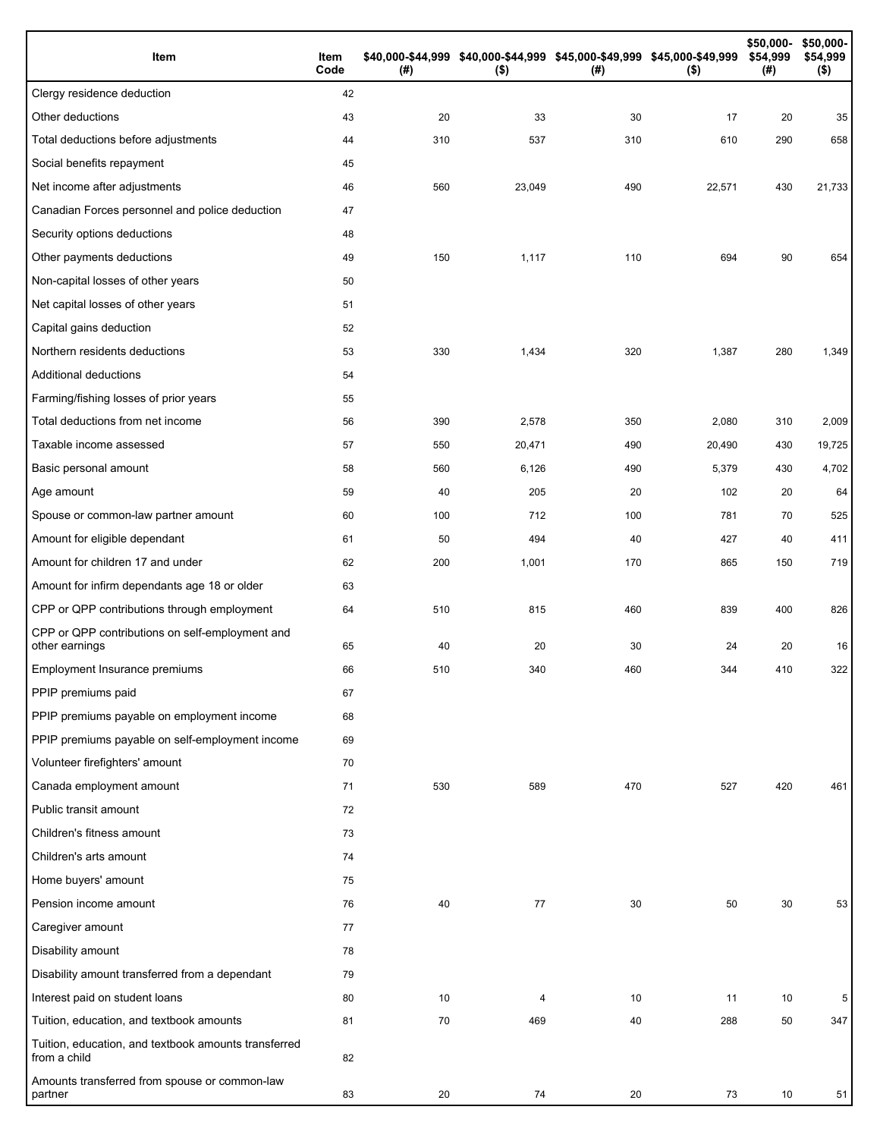| Item                                                                 | Item<br>Code | (# ) | \$40,000-\$44,999 \$40,000-\$44,999 \$45,000-\$49,999 \$45,000-\$49,999<br>$($ \$) | (#) | $($ \$) | \$50,000-<br>\$54,999<br>(#) | \$50,000-<br>\$54,999<br>$($ \$) |
|----------------------------------------------------------------------|--------------|------|------------------------------------------------------------------------------------|-----|---------|------------------------------|----------------------------------|
| Clergy residence deduction                                           | 42           |      |                                                                                    |     |         |                              |                                  |
| Other deductions                                                     | 43           | 20   | 33                                                                                 | 30  | 17      | 20                           | 35                               |
| Total deductions before adjustments                                  | 44           | 310  | 537                                                                                | 310 | 610     | 290                          | 658                              |
| Social benefits repayment                                            | 45           |      |                                                                                    |     |         |                              |                                  |
| Net income after adjustments                                         | 46           | 560  | 23,049                                                                             | 490 | 22,571  | 430                          | 21,733                           |
| Canadian Forces personnel and police deduction                       | 47           |      |                                                                                    |     |         |                              |                                  |
| Security options deductions                                          | 48           |      |                                                                                    |     |         |                              |                                  |
| Other payments deductions                                            | 49           | 150  | 1,117                                                                              | 110 | 694     | 90                           | 654                              |
| Non-capital losses of other years                                    | 50           |      |                                                                                    |     |         |                              |                                  |
| Net capital losses of other years                                    | 51           |      |                                                                                    |     |         |                              |                                  |
| Capital gains deduction                                              | 52           |      |                                                                                    |     |         |                              |                                  |
| Northern residents deductions                                        | 53           | 330  | 1,434                                                                              | 320 | 1,387   | 280                          | 1,349                            |
| Additional deductions                                                | 54           |      |                                                                                    |     |         |                              |                                  |
| Farming/fishing losses of prior years                                | 55           |      |                                                                                    |     |         |                              |                                  |
| Total deductions from net income                                     | 56           | 390  | 2,578                                                                              | 350 | 2,080   | 310                          | 2,009                            |
| Taxable income assessed                                              | 57           | 550  | 20,471                                                                             | 490 | 20,490  | 430                          | 19,725                           |
| Basic personal amount                                                | 58           | 560  | 6,126                                                                              | 490 | 5,379   | 430                          | 4,702                            |
| Age amount                                                           | 59           | 40   | 205                                                                                | 20  | 102     | 20                           | 64                               |
| Spouse or common-law partner amount                                  | 60           | 100  | 712                                                                                | 100 | 781     | 70                           | 525                              |
| Amount for eligible dependant                                        | 61           | 50   | 494                                                                                | 40  | 427     | 40                           | 411                              |
| Amount for children 17 and under                                     | 62           | 200  | 1,001                                                                              | 170 | 865     | 150                          | 719                              |
| Amount for infirm dependants age 18 or older                         | 63           |      |                                                                                    |     |         |                              |                                  |
| CPP or QPP contributions through employment                          | 64           | 510  | 815                                                                                | 460 | 839     | 400                          | 826                              |
| CPP or QPP contributions on self-employment and<br>other earnings    | 65           | 40   | 20                                                                                 | 30  | 24      | 20                           | 16                               |
| Employment Insurance premiums                                        | 66           | 510  | 340                                                                                | 460 | 344     | 410                          | 322                              |
| PPIP premiums paid                                                   | 67           |      |                                                                                    |     |         |                              |                                  |
| PPIP premiums payable on employment income                           | 68           |      |                                                                                    |     |         |                              |                                  |
| PPIP premiums payable on self-employment income                      | 69           |      |                                                                                    |     |         |                              |                                  |
| Volunteer firefighters' amount                                       | 70           |      |                                                                                    |     |         |                              |                                  |
| Canada employment amount                                             | 71           | 530  | 589                                                                                | 470 | 527     | 420                          | 461                              |
| Public transit amount                                                | 72           |      |                                                                                    |     |         |                              |                                  |
| Children's fitness amount                                            | 73           |      |                                                                                    |     |         |                              |                                  |
| Children's arts amount                                               | 74           |      |                                                                                    |     |         |                              |                                  |
| Home buyers' amount                                                  | 75           |      |                                                                                    |     |         |                              |                                  |
| Pension income amount                                                | 76           | 40   | 77                                                                                 | 30  | 50      | 30                           | 53                               |
| Caregiver amount                                                     | 77           |      |                                                                                    |     |         |                              |                                  |
| Disability amount                                                    | 78           |      |                                                                                    |     |         |                              |                                  |
| Disability amount transferred from a dependant                       | 79           |      |                                                                                    |     |         |                              |                                  |
| Interest paid on student loans                                       | 80           | 10   | 4                                                                                  | 10  | 11      | 10                           | 5                                |
| Tuition, education, and textbook amounts                             | 81           | 70   | 469                                                                                | 40  | 288     | 50                           | 347                              |
| Tuition, education, and textbook amounts transferred<br>from a child | 82           |      |                                                                                    |     |         |                              |                                  |
| Amounts transferred from spouse or common-law<br>partner             | 83           | 20   | 74                                                                                 | 20  | 73      | 10                           | 51                               |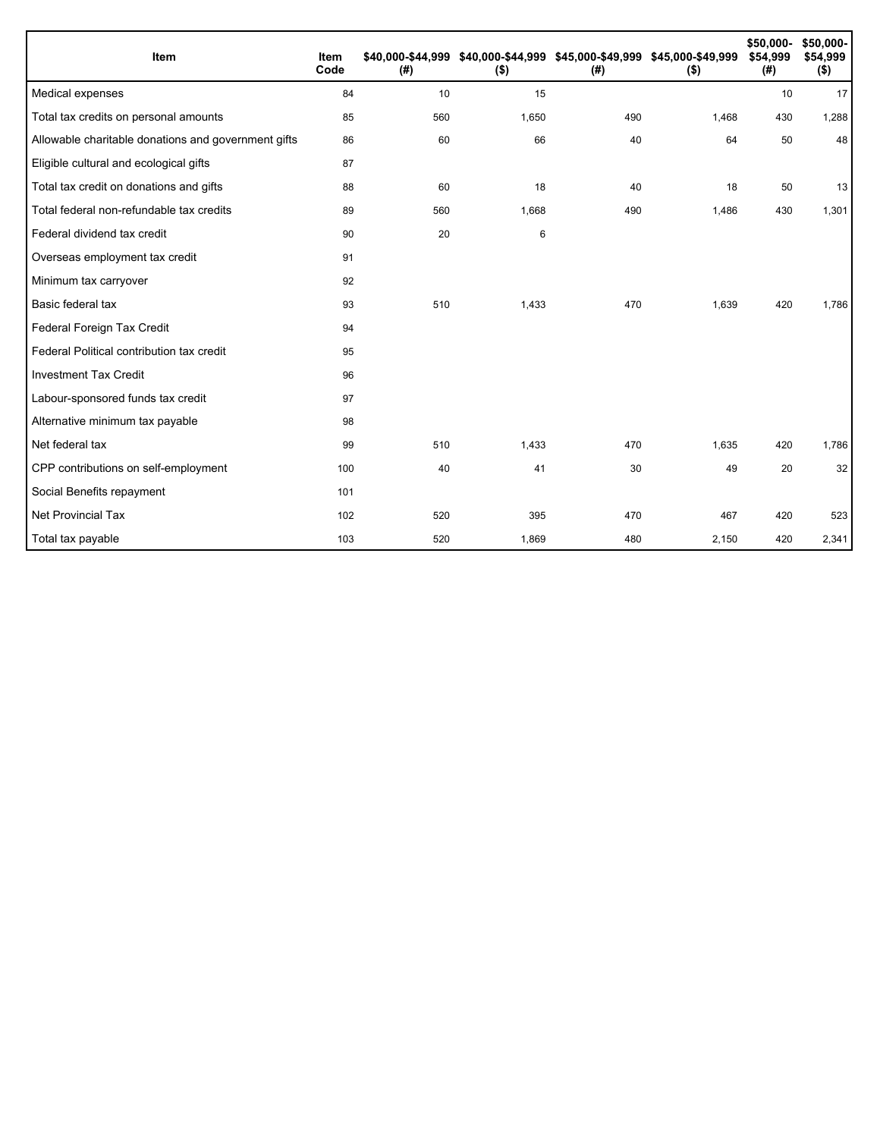| Item                                                | Item<br>Code | (#) | \$40,000-\$44,999 \$40,000-\$44,999 \$45,000-\$49,999 \$45,000-\$49,999<br>$($ \$) | (#) | $($ \$) | \$50,000-<br>\$54,999<br>(#) | \$50,000-<br>\$54,999<br>$($ \$) |
|-----------------------------------------------------|--------------|-----|------------------------------------------------------------------------------------|-----|---------|------------------------------|----------------------------------|
| Medical expenses                                    | 84           | 10  | 15                                                                                 |     |         | 10                           | 17                               |
| Total tax credits on personal amounts               | 85           | 560 | 1,650                                                                              | 490 | 1,468   | 430                          | 1,288                            |
| Allowable charitable donations and government gifts | 86           | 60  | 66                                                                                 | 40  | 64      | 50                           | 48                               |
| Eligible cultural and ecological gifts              | 87           |     |                                                                                    |     |         |                              |                                  |
| Total tax credit on donations and gifts             | 88           | 60  | 18                                                                                 | 40  | 18      | 50                           | 13                               |
| Total federal non-refundable tax credits            | 89           | 560 | 1,668                                                                              | 490 | 1,486   | 430                          | 1,301                            |
| Federal dividend tax credit                         | 90           | 20  | 6                                                                                  |     |         |                              |                                  |
| Overseas employment tax credit                      | 91           |     |                                                                                    |     |         |                              |                                  |
| Minimum tax carryover                               | 92           |     |                                                                                    |     |         |                              |                                  |
| Basic federal tax                                   | 93           | 510 | 1,433                                                                              | 470 | 1,639   | 420                          | 1,786                            |
| Federal Foreign Tax Credit                          | 94           |     |                                                                                    |     |         |                              |                                  |
| Federal Political contribution tax credit           | 95           |     |                                                                                    |     |         |                              |                                  |
| <b>Investment Tax Credit</b>                        | 96           |     |                                                                                    |     |         |                              |                                  |
| Labour-sponsored funds tax credit                   | 97           |     |                                                                                    |     |         |                              |                                  |
| Alternative minimum tax payable                     | 98           |     |                                                                                    |     |         |                              |                                  |
| Net federal tax                                     | 99           | 510 | 1,433                                                                              | 470 | 1,635   | 420                          | 1,786                            |
| CPP contributions on self-employment                | 100          | 40  | 41                                                                                 | 30  | 49      | 20                           | 32                               |
| Social Benefits repayment                           | 101          |     |                                                                                    |     |         |                              |                                  |
| Net Provincial Tax                                  | 102          | 520 | 395                                                                                | 470 | 467     | 420                          | 523                              |
| Total tax payable                                   | 103          | 520 | 1,869                                                                              | 480 | 2,150   | 420                          | 2,341                            |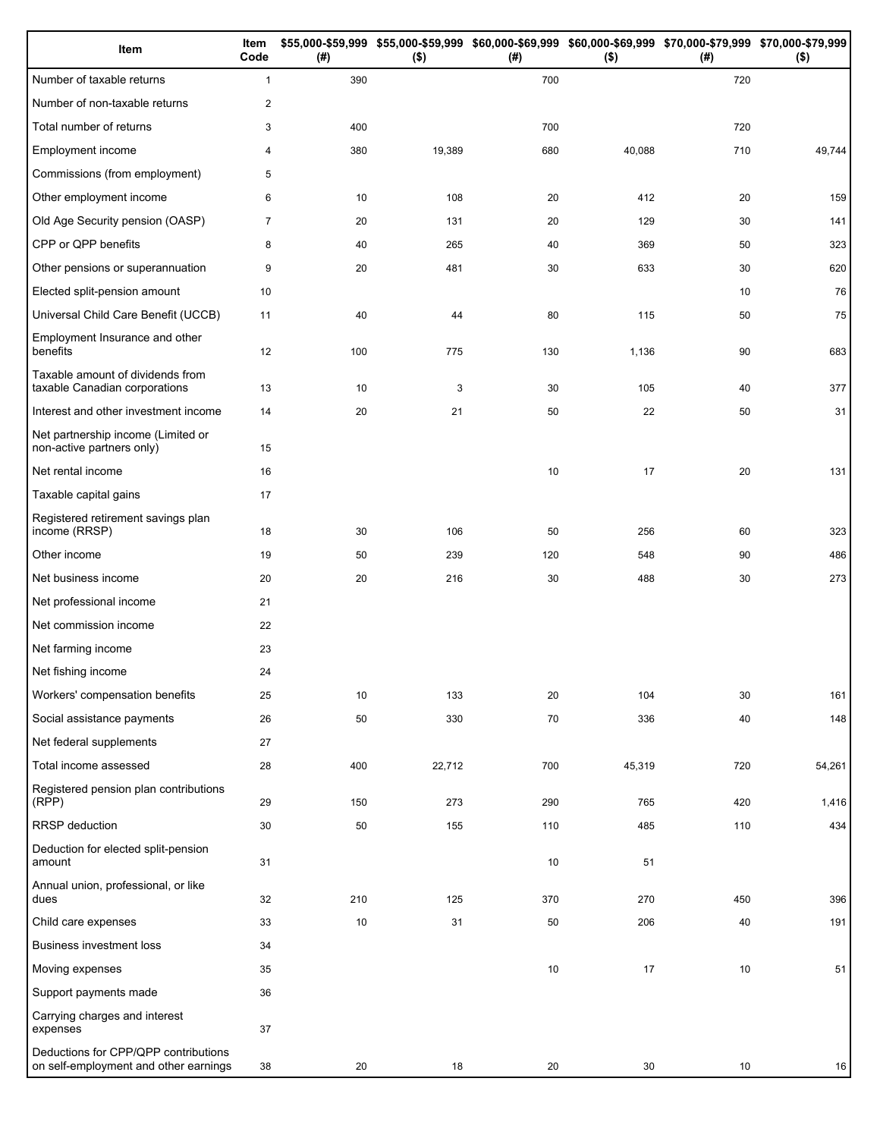| Item                                                                          | Item<br>Code   | (#) | $($ \$) | (#)  | \$55,000-\$59,999 \$55,000-\$59,999 \$60,000-\$69,999 \$60,000-\$69,999 \$70,000-\$79,999 \$70,000-\$79,999<br>$($ \$) | (#) | $($ \$) |
|-------------------------------------------------------------------------------|----------------|-----|---------|------|------------------------------------------------------------------------------------------------------------------------|-----|---------|
| Number of taxable returns                                                     | $\mathbf{1}$   | 390 |         | 700  |                                                                                                                        | 720 |         |
| Number of non-taxable returns                                                 | $\overline{c}$ |     |         |      |                                                                                                                        |     |         |
| Total number of returns                                                       | 3              | 400 |         | 700  |                                                                                                                        | 720 |         |
| Employment income                                                             | 4              | 380 | 19,389  | 680  | 40,088                                                                                                                 | 710 | 49,744  |
| Commissions (from employment)                                                 | 5              |     |         |      |                                                                                                                        |     |         |
| Other employment income                                                       | 6              | 10  | 108     | 20   | 412                                                                                                                    | 20  | 159     |
| Old Age Security pension (OASP)                                               | $\overline{7}$ | 20  | 131     | 20   | 129                                                                                                                    | 30  | 141     |
| CPP or QPP benefits                                                           | 8              | 40  | 265     | 40   | 369                                                                                                                    | 50  | 323     |
| Other pensions or superannuation                                              | 9              | 20  | 481     | 30   | 633                                                                                                                    | 30  | 620     |
| Elected split-pension amount                                                  | 10             |     |         |      |                                                                                                                        | 10  | 76      |
| Universal Child Care Benefit (UCCB)                                           | 11             | 40  | 44      | 80   | 115                                                                                                                    | 50  | 75      |
| Employment Insurance and other<br>benefits                                    | 12             | 100 | 775     | 130  | 1,136                                                                                                                  | 90  | 683     |
| Taxable amount of dividends from<br>taxable Canadian corporations             | 13             | 10  | 3       | 30   | 105                                                                                                                    | 40  | 377     |
| Interest and other investment income                                          | 14             | 20  | 21      | 50   | 22                                                                                                                     | 50  | 31      |
| Net partnership income (Limited or<br>non-active partners only)               | 15             |     |         |      |                                                                                                                        |     |         |
| Net rental income                                                             | 16             |     |         | 10   | 17                                                                                                                     | 20  | 131     |
| Taxable capital gains                                                         | 17             |     |         |      |                                                                                                                        |     |         |
| Registered retirement savings plan<br>income (RRSP)                           | 18             | 30  | 106     | 50   | 256                                                                                                                    | 60  | 323     |
| Other income                                                                  | 19             | 50  | 239     | 120  | 548                                                                                                                    | 90  | 486     |
| Net business income                                                           | 20             | 20  | 216     | 30   | 488                                                                                                                    | 30  | 273     |
| Net professional income                                                       | 21             |     |         |      |                                                                                                                        |     |         |
| Net commission income                                                         | 22             |     |         |      |                                                                                                                        |     |         |
| Net farming income                                                            | 23             |     |         |      |                                                                                                                        |     |         |
| Net fishing income                                                            | 24             |     |         |      |                                                                                                                        |     |         |
| Workers' compensation benefits                                                | 25             | 10  | 133     | 20   | 104                                                                                                                    | 30  | 161     |
| Social assistance payments                                                    | 26             | 50  | 330     | 70   | 336                                                                                                                    | 40  | 148     |
| Net federal supplements                                                       | 27             |     |         |      |                                                                                                                        |     |         |
| Total income assessed                                                         | 28             | 400 | 22,712  | 700  | 45,319                                                                                                                 | 720 | 54,261  |
| Registered pension plan contributions<br>(RPP)                                | 29             | 150 | 273     | 290  | 765                                                                                                                    | 420 | 1,416   |
| RRSP deduction                                                                | 30             | 50  | 155     | 110  | 485                                                                                                                    | 110 | 434     |
| Deduction for elected split-pension<br>amount                                 | 31             |     |         | 10   | 51                                                                                                                     |     |         |
| Annual union, professional, or like<br>dues                                   | 32             | 210 | 125     | 370  | 270                                                                                                                    | 450 | 396     |
| Child care expenses                                                           | 33             | 10  | 31      | 50   | 206                                                                                                                    | 40  | 191     |
| <b>Business investment loss</b>                                               | 34             |     |         |      |                                                                                                                        |     |         |
| Moving expenses                                                               | 35             |     |         | $10$ | 17                                                                                                                     | 10  | 51      |
| Support payments made                                                         | 36             |     |         |      |                                                                                                                        |     |         |
| Carrying charges and interest<br>expenses                                     | 37             |     |         |      |                                                                                                                        |     |         |
| Deductions for CPP/QPP contributions<br>on self-employment and other earnings | 38             | 20  | 18      | 20   | 30                                                                                                                     | 10  | 16      |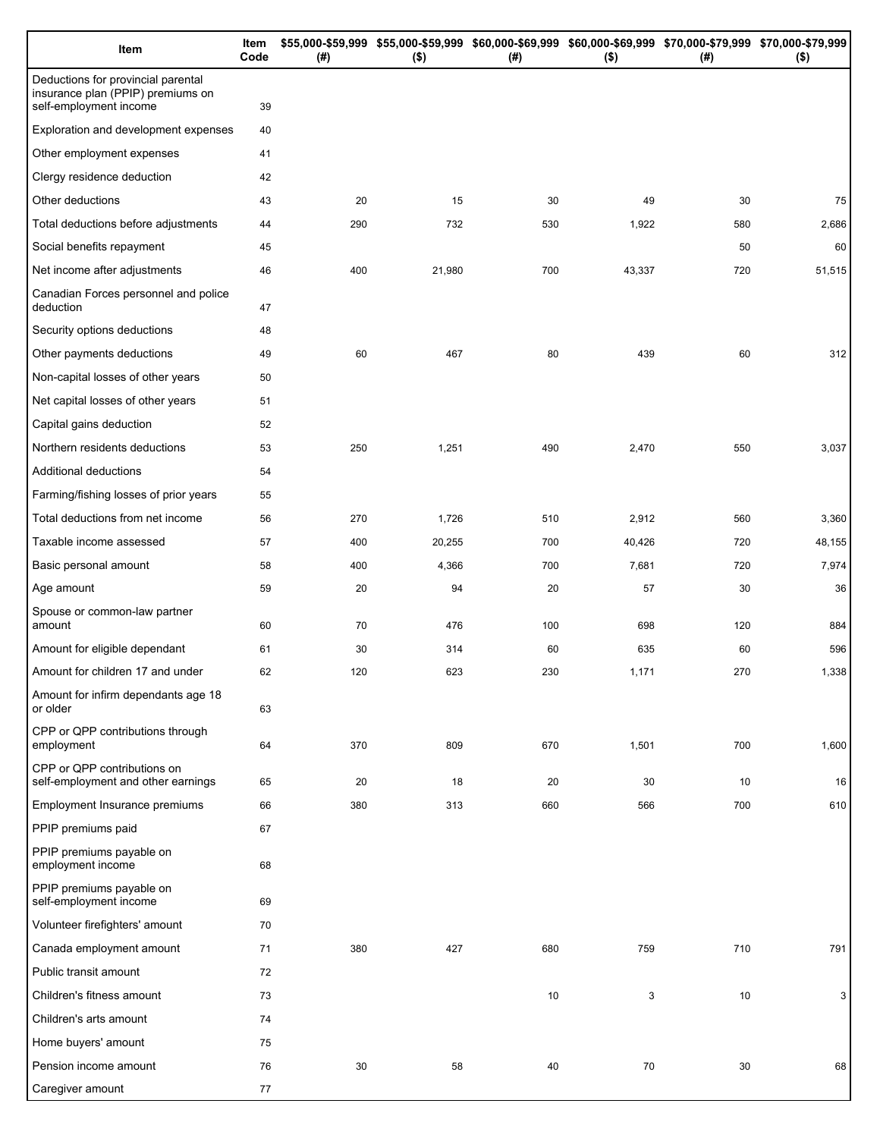| Item                                                                                              | Item<br>Code | (# ) | \$55,000-\$59,999 \$55,000-\$59,999 \$60,000-\$69,999 \$60,000-\$69,999 \$70,000-\$79,999 \$70,000-\$79,999<br>$($ \$) | $($ #) | $($ \$) | (# ) | $($ \$) |
|---------------------------------------------------------------------------------------------------|--------------|------|------------------------------------------------------------------------------------------------------------------------|--------|---------|------|---------|
| Deductions for provincial parental<br>insurance plan (PPIP) premiums on<br>self-employment income | 39           |      |                                                                                                                        |        |         |      |         |
| Exploration and development expenses                                                              | 40           |      |                                                                                                                        |        |         |      |         |
| Other employment expenses                                                                         | 41           |      |                                                                                                                        |        |         |      |         |
| Clergy residence deduction                                                                        | 42           |      |                                                                                                                        |        |         |      |         |
| Other deductions                                                                                  | 43           | 20   | 15                                                                                                                     | 30     | 49      | 30   | 75      |
| Total deductions before adjustments                                                               | 44           | 290  | 732                                                                                                                    | 530    | 1,922   | 580  | 2,686   |
| Social benefits repayment                                                                         | 45           |      |                                                                                                                        |        |         | 50   | 60      |
| Net income after adjustments                                                                      | 46           | 400  | 21,980                                                                                                                 | 700    | 43,337  | 720  | 51,515  |
| Canadian Forces personnel and police<br>deduction                                                 | 47           |      |                                                                                                                        |        |         |      |         |
| Security options deductions                                                                       | 48           |      |                                                                                                                        |        |         |      |         |
| Other payments deductions                                                                         | 49           | 60   | 467                                                                                                                    | 80     | 439     | 60   | 312     |
| Non-capital losses of other years                                                                 | 50           |      |                                                                                                                        |        |         |      |         |
| Net capital losses of other years                                                                 | 51           |      |                                                                                                                        |        |         |      |         |
| Capital gains deduction                                                                           | 52           |      |                                                                                                                        |        |         |      |         |
| Northern residents deductions                                                                     | 53           | 250  | 1,251                                                                                                                  | 490    | 2,470   | 550  | 3,037   |
| Additional deductions                                                                             | 54           |      |                                                                                                                        |        |         |      |         |
| Farming/fishing losses of prior years                                                             | 55           |      |                                                                                                                        |        |         |      |         |
| Total deductions from net income                                                                  | 56           | 270  | 1,726                                                                                                                  | 510    | 2,912   | 560  | 3,360   |
| Taxable income assessed                                                                           | 57           | 400  | 20,255                                                                                                                 | 700    | 40,426  | 720  | 48,155  |
| Basic personal amount                                                                             | 58           | 400  | 4,366                                                                                                                  | 700    | 7,681   | 720  | 7,974   |
| Age amount                                                                                        | 59           | 20   | 94                                                                                                                     | 20     | 57      | 30   | 36      |
| Spouse or common-law partner<br>amount                                                            | 60           | 70   | 476                                                                                                                    | 100    | 698     | 120  | 884     |
| Amount for eligible dependant                                                                     | 61           | 30   | 314                                                                                                                    | 60     | 635     | 60   | 596     |
| Amount for children 17 and under                                                                  | 62           | 120  | 623                                                                                                                    | 230    | 1,171   | 270  | 1,338   |
| Amount for infirm dependants age 18<br>or older                                                   | 63           |      |                                                                                                                        |        |         |      |         |
| CPP or QPP contributions through<br>employment                                                    | 64           | 370  | 809                                                                                                                    | 670    | 1,501   | 700  | 1,600   |
| CPP or QPP contributions on<br>self-employment and other earnings                                 | 65           | 20   | 18                                                                                                                     | 20     | 30      | 10   | 16      |
| Employment Insurance premiums                                                                     | 66           | 380  | 313                                                                                                                    | 660    | 566     | 700  | 610     |
| PPIP premiums paid                                                                                | 67           |      |                                                                                                                        |        |         |      |         |
| PPIP premiums payable on<br>employment income                                                     | 68           |      |                                                                                                                        |        |         |      |         |
| PPIP premiums payable on<br>self-employment income                                                | 69           |      |                                                                                                                        |        |         |      |         |
| Volunteer firefighters' amount                                                                    | 70           |      |                                                                                                                        |        |         |      |         |
| Canada employment amount                                                                          | 71           | 380  | 427                                                                                                                    | 680    | 759     | 710  | 791     |
| Public transit amount                                                                             | 72           |      |                                                                                                                        |        |         |      |         |
| Children's fitness amount                                                                         | 73           |      |                                                                                                                        | $10$   | 3       | 10   | 3       |
| Children's arts amount                                                                            | 74           |      |                                                                                                                        |        |         |      |         |
| Home buyers' amount                                                                               | 75           |      |                                                                                                                        |        |         |      |         |
| Pension income amount                                                                             | 76           | 30   | 58                                                                                                                     | 40     | 70      | 30   | 68      |
| Caregiver amount                                                                                  | 77           |      |                                                                                                                        |        |         |      |         |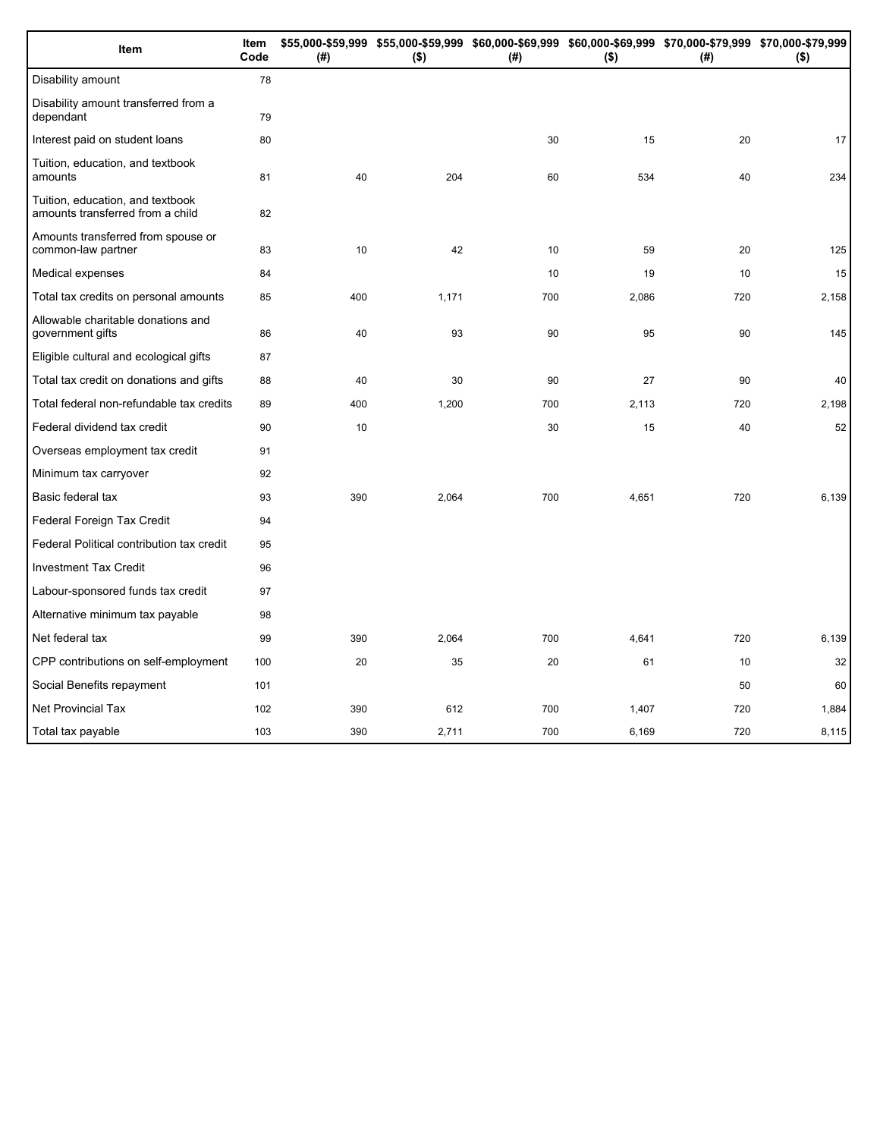| Item                                                                 | Item<br>Code | (# ) | $($ \$) | (#) | $($ \$) | \$55,000-\$59,999 \$55,000-\$59,999 \$60,000-\$69,999 \$60,000-\$69,999 \$70,000-\$79,999 \$70,000-\$79,999<br>(#) | $($ \$) |
|----------------------------------------------------------------------|--------------|------|---------|-----|---------|--------------------------------------------------------------------------------------------------------------------|---------|
| Disability amount                                                    | 78           |      |         |     |         |                                                                                                                    |         |
| Disability amount transferred from a<br>dependant                    | 79           |      |         |     |         |                                                                                                                    |         |
| Interest paid on student loans                                       | 80           |      |         | 30  | 15      | 20                                                                                                                 | 17      |
| Tuition, education, and textbook<br>amounts                          | 81           | 40   | 204     | 60  | 534     | 40                                                                                                                 | 234     |
| Tuition, education, and textbook<br>amounts transferred from a child | 82           |      |         |     |         |                                                                                                                    |         |
| Amounts transferred from spouse or<br>common-law partner             | 83           | 10   | 42      | 10  | 59      | 20                                                                                                                 | 125     |
| Medical expenses                                                     | 84           |      |         | 10  | 19      | 10                                                                                                                 | 15      |
| Total tax credits on personal amounts                                | 85           | 400  | 1,171   | 700 | 2,086   | 720                                                                                                                | 2,158   |
| Allowable charitable donations and<br>government gifts               | 86           | 40   | 93      | 90  | 95      | 90                                                                                                                 | 145     |
| Eligible cultural and ecological gifts                               | 87           |      |         |     |         |                                                                                                                    |         |
| Total tax credit on donations and gifts                              | 88           | 40   | 30      | 90  | 27      | 90                                                                                                                 | 40      |
| Total federal non-refundable tax credits                             | 89           | 400  | 1,200   | 700 | 2,113   | 720                                                                                                                | 2,198   |
| Federal dividend tax credit                                          | 90           | 10   |         | 30  | 15      | 40                                                                                                                 | 52      |
| Overseas employment tax credit                                       | 91           |      |         |     |         |                                                                                                                    |         |
| Minimum tax carryover                                                | 92           |      |         |     |         |                                                                                                                    |         |
| Basic federal tax                                                    | 93           | 390  | 2,064   | 700 | 4,651   | 720                                                                                                                | 6,139   |
| Federal Foreign Tax Credit                                           | 94           |      |         |     |         |                                                                                                                    |         |
| Federal Political contribution tax credit                            | 95           |      |         |     |         |                                                                                                                    |         |
| <b>Investment Tax Credit</b>                                         | 96           |      |         |     |         |                                                                                                                    |         |
| Labour-sponsored funds tax credit                                    | 97           |      |         |     |         |                                                                                                                    |         |
| Alternative minimum tax payable                                      | 98           |      |         |     |         |                                                                                                                    |         |
| Net federal tax                                                      | 99           | 390  | 2,064   | 700 | 4,641   | 720                                                                                                                | 6,139   |
| CPP contributions on self-employment                                 | 100          | 20   | 35      | 20  | 61      | 10                                                                                                                 | 32      |
| Social Benefits repayment                                            | 101          |      |         |     |         | 50                                                                                                                 | 60      |
| Net Provincial Tax                                                   | 102          | 390  | 612     | 700 | 1,407   | 720                                                                                                                | 1,884   |
| Total tax payable                                                    | 103          | 390  | 2,711   | 700 | 6,169   | 720                                                                                                                | 8,115   |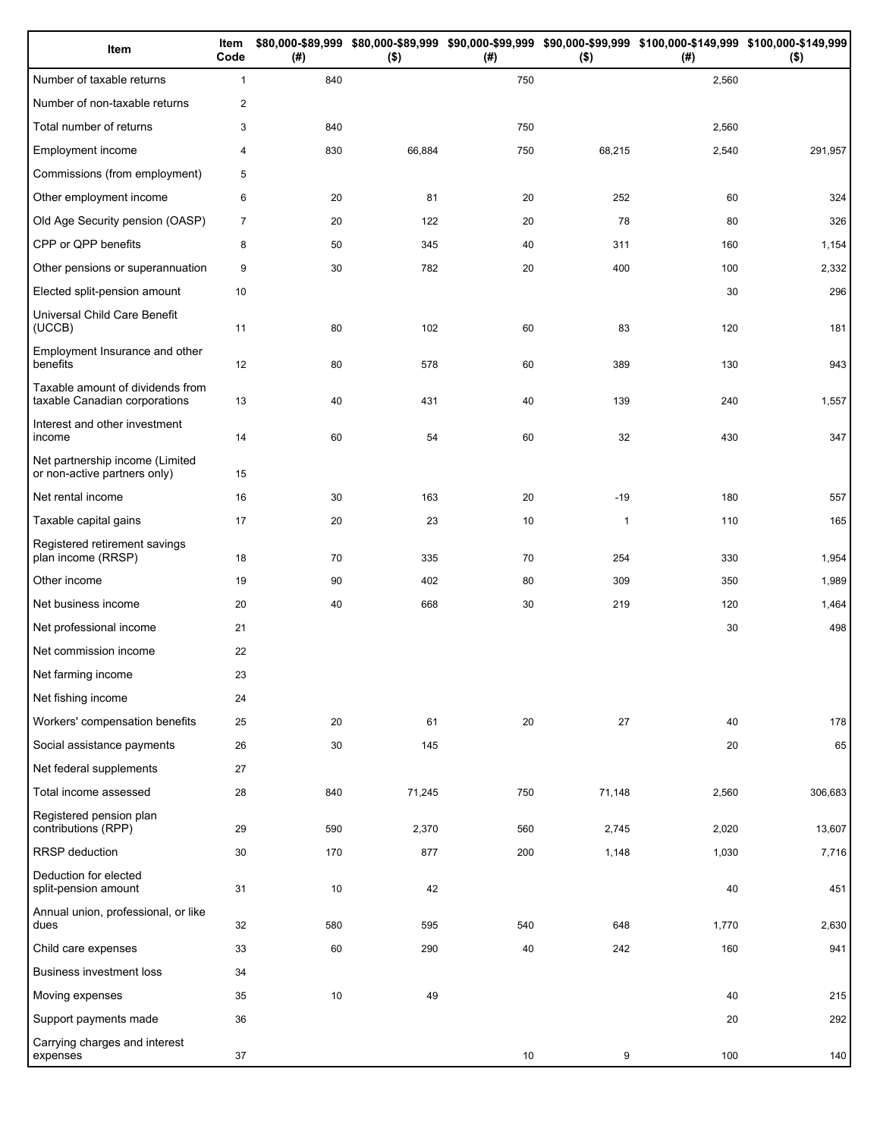| Item                                                              | Item<br>Code   | (#) | $($ \$) | (# ) | $($ \$)      | \$80,000-\$89,999 \$80,000-\$89,999 \$90,000-\$99,999 \$90,000-\$99,999 \$100,000-\$149,999 \$100,000-\$149,999<br>(# ) | $($ \$) |
|-------------------------------------------------------------------|----------------|-----|---------|------|--------------|-------------------------------------------------------------------------------------------------------------------------|---------|
| Number of taxable returns                                         | $\mathbf{1}$   | 840 |         | 750  |              | 2,560                                                                                                                   |         |
| Number of non-taxable returns                                     | 2              |     |         |      |              |                                                                                                                         |         |
| Total number of returns                                           | 3              | 840 |         | 750  |              | 2,560                                                                                                                   |         |
| Employment income                                                 | $\overline{4}$ | 830 | 66,884  | 750  | 68,215       | 2,540                                                                                                                   | 291,957 |
| Commissions (from employment)                                     | 5              |     |         |      |              |                                                                                                                         |         |
| Other employment income                                           | 6              | 20  | 81      | 20   | 252          | 60                                                                                                                      | 324     |
| Old Age Security pension (OASP)                                   | $\overline{7}$ | 20  | 122     | 20   | 78           | 80                                                                                                                      | 326     |
| CPP or QPP benefits                                               | 8              | 50  | 345     | 40   | 311          | 160                                                                                                                     | 1,154   |
| Other pensions or superannuation                                  | 9              | 30  | 782     | 20   | 400          | 100                                                                                                                     | 2,332   |
| Elected split-pension amount                                      | 10             |     |         |      |              | 30                                                                                                                      | 296     |
| Universal Child Care Benefit<br>(UCCB)                            | 11             | 80  | 102     | 60   | 83           | 120                                                                                                                     | 181     |
| Employment Insurance and other<br>benefits                        | 12             | 80  | 578     | 60   | 389          | 130                                                                                                                     | 943     |
| Taxable amount of dividends from<br>taxable Canadian corporations | 13             | 40  | 431     | 40   | 139          | 240                                                                                                                     | 1,557   |
| Interest and other investment<br>income                           | 14             | 60  | 54      | 60   | 32           | 430                                                                                                                     | 347     |
| Net partnership income (Limited<br>or non-active partners only)   | 15             |     |         |      |              |                                                                                                                         |         |
| Net rental income                                                 | 16             | 30  | 163     | 20   | $-19$        | 180                                                                                                                     | 557     |
| Taxable capital gains                                             | 17             | 20  | 23      | 10   | $\mathbf{1}$ | 110                                                                                                                     | 165     |
| Registered retirement savings<br>plan income (RRSP)               | 18             | 70  | 335     | 70   | 254          | 330                                                                                                                     | 1,954   |
| Other income                                                      | 19             | 90  | 402     | 80   | 309          | 350                                                                                                                     | 1,989   |
| Net business income                                               | 20             | 40  | 668     | 30   | 219          | 120                                                                                                                     | 1,464   |
| Net professional income                                           | 21             |     |         |      |              | 30                                                                                                                      | 498     |
| Net commission income                                             | 22             |     |         |      |              |                                                                                                                         |         |
| Net farming income                                                | 23             |     |         |      |              |                                                                                                                         |         |
| Net fishing income                                                | 24             |     |         |      |              |                                                                                                                         |         |
| Workers' compensation benefits                                    | 25             | 20  | 61      | 20   | 27           | 40                                                                                                                      | 178     |
| Social assistance payments                                        | 26             | 30  | 145     |      |              | 20                                                                                                                      | 65      |
| Net federal supplements                                           | 27             |     |         |      |              |                                                                                                                         |         |
| Total income assessed                                             | 28             | 840 | 71,245  | 750  | 71,148       | 2,560                                                                                                                   | 306,683 |
| Registered pension plan<br>contributions (RPP)                    | 29             | 590 | 2,370   | 560  | 2,745        | 2,020                                                                                                                   | 13,607  |
| RRSP deduction                                                    | 30             | 170 | 877     | 200  | 1,148        | 1,030                                                                                                                   | 7,716   |
| Deduction for elected<br>split-pension amount                     | 31             | 10  | 42      |      |              | 40                                                                                                                      | 451     |
| Annual union, professional, or like<br>dues                       | 32             | 580 | 595     | 540  | 648          | 1,770                                                                                                                   | 2,630   |
| Child care expenses                                               | 33             | 60  | 290     | 40   | 242          | 160                                                                                                                     | 941     |
| Business investment loss                                          | 34             |     |         |      |              |                                                                                                                         |         |
| Moving expenses                                                   | 35             | 10  | 49      |      |              | 40                                                                                                                      | 215     |
| Support payments made                                             | 36             |     |         |      |              | 20                                                                                                                      | 292     |
| Carrying charges and interest<br>expenses                         | 37             |     |         | 10   | 9            | 100                                                                                                                     | 140     |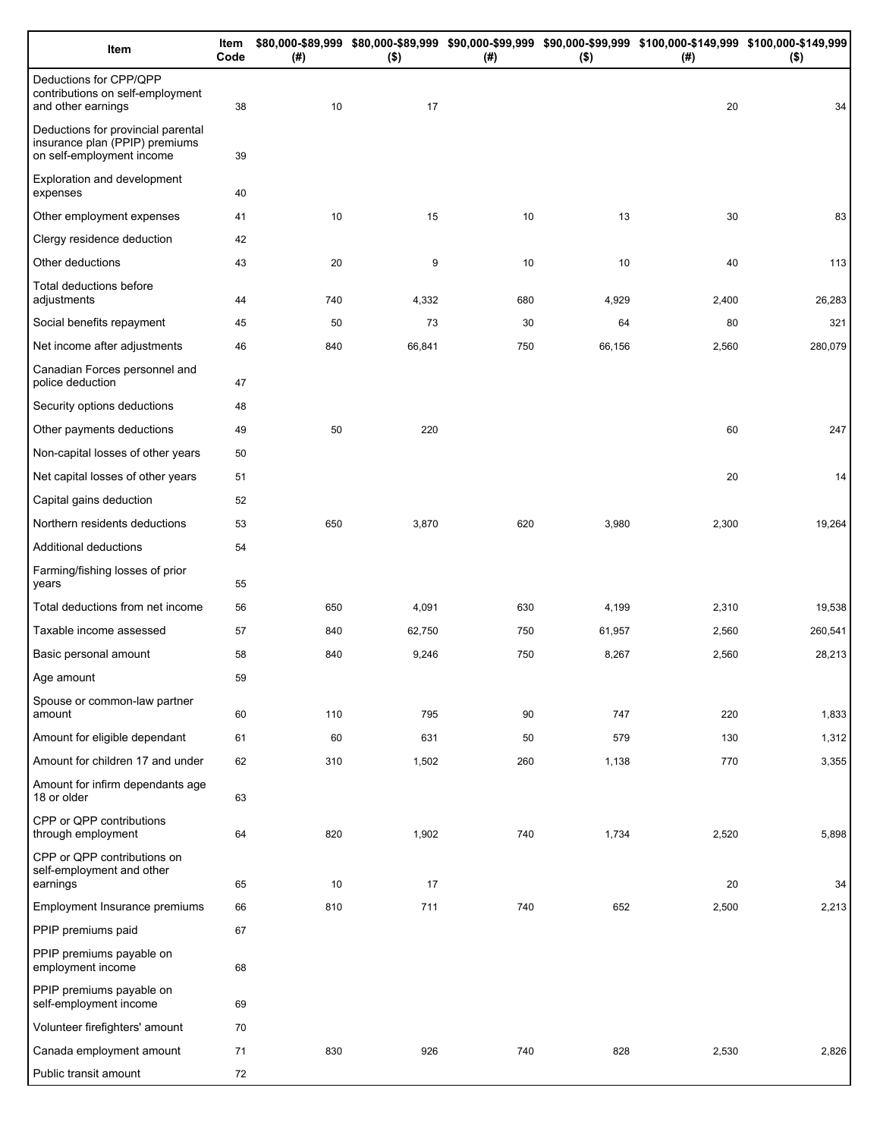| Item                                                                                              | Item<br>Code | (#) | $($ \$) | (# ) | $($ \$) | \$80,000-\$89,999 \$80,000-\$89,999 \$90,000-\$99,999 \$90,000-\$99,999 \$100,000-\$149,999 \$100,000-\$149,999<br>(#) | $($ \$) |
|---------------------------------------------------------------------------------------------------|--------------|-----|---------|------|---------|------------------------------------------------------------------------------------------------------------------------|---------|
| Deductions for CPP/QPP<br>contributions on self-employment<br>and other earnings                  | 38           | 10  | 17      |      |         | 20                                                                                                                     | 34      |
| Deductions for provincial parental<br>insurance plan (PPIP) premiums<br>on self-employment income | 39           |     |         |      |         |                                                                                                                        |         |
| Exploration and development<br>expenses                                                           | 40           |     |         |      |         |                                                                                                                        |         |
| Other employment expenses                                                                         | 41           | 10  | 15      | 10   | 13      | 30                                                                                                                     | 83      |
| Clergy residence deduction                                                                        | 42           |     |         |      |         |                                                                                                                        |         |
| Other deductions                                                                                  | 43           | 20  | 9       | 10   | 10      | 40                                                                                                                     | 113     |
| Total deductions before<br>adjustments                                                            | 44           | 740 | 4,332   | 680  | 4,929   | 2,400                                                                                                                  | 26,283  |
| Social benefits repayment                                                                         | 45           | 50  | 73      | 30   | 64      | 80                                                                                                                     | 321     |
| Net income after adjustments                                                                      | 46           | 840 | 66,841  | 750  | 66,156  | 2,560                                                                                                                  | 280,079 |
| Canadian Forces personnel and<br>police deduction                                                 | 47           |     |         |      |         |                                                                                                                        |         |
| Security options deductions                                                                       | 48           |     |         |      |         |                                                                                                                        |         |
| Other payments deductions                                                                         | 49           | 50  | 220     |      |         | 60                                                                                                                     | 247     |
| Non-capital losses of other years                                                                 | 50           |     |         |      |         |                                                                                                                        |         |
| Net capital losses of other years                                                                 | 51           |     |         |      |         | 20                                                                                                                     | 14      |
| Capital gains deduction                                                                           | 52           |     |         |      |         |                                                                                                                        |         |
| Northern residents deductions                                                                     | 53           | 650 | 3,870   | 620  | 3,980   | 2,300                                                                                                                  | 19,264  |
| Additional deductions                                                                             | 54           |     |         |      |         |                                                                                                                        |         |
| Farming/fishing losses of prior<br>years                                                          | 55           |     |         |      |         |                                                                                                                        |         |
| Total deductions from net income                                                                  | 56           | 650 | 4,091   | 630  | 4,199   | 2,310                                                                                                                  | 19,538  |
| Taxable income assessed                                                                           | 57           | 840 | 62,750  | 750  | 61,957  | 2,560                                                                                                                  | 260,541 |
| Basic personal amount                                                                             | 58           | 840 | 9,246   | 750  | 8,267   | 2,560                                                                                                                  | 28,213  |
| Age amount                                                                                        | 59           |     |         |      |         |                                                                                                                        |         |
| Spouse or common-law partner<br>amount                                                            | 60           | 110 | 795     | 90   | 747     | 220                                                                                                                    | 1,833   |
| Amount for eligible dependant                                                                     | 61           | 60  | 631     | 50   | 579     | 130                                                                                                                    | 1,312   |
| Amount for children 17 and under                                                                  | 62           | 310 | 1,502   | 260  | 1,138   | 770                                                                                                                    | 3,355   |
| Amount for infirm dependants age<br>18 or older                                                   | 63           |     |         |      |         |                                                                                                                        |         |
| CPP or QPP contributions<br>through employment                                                    | 64           | 820 | 1,902   | 740  | 1,734   | 2,520                                                                                                                  | 5,898   |
| CPP or QPP contributions on<br>self-employment and other<br>earnings                              | 65           | 10  | 17      |      |         | 20                                                                                                                     | 34      |
| Employment Insurance premiums                                                                     | 66           | 810 | 711     | 740  | 652     | 2,500                                                                                                                  | 2,213   |
| PPIP premiums paid                                                                                | 67           |     |         |      |         |                                                                                                                        |         |
| PPIP premiums payable on<br>employment income                                                     | 68           |     |         |      |         |                                                                                                                        |         |
| PPIP premiums payable on<br>self-employment income                                                | 69           |     |         |      |         |                                                                                                                        |         |
| Volunteer firefighters' amount                                                                    | 70           |     |         |      |         |                                                                                                                        |         |
| Canada employment amount                                                                          | 71           | 830 | 926     | 740  | 828     | 2,530                                                                                                                  | 2,826   |
| Public transit amount                                                                             | 72           |     |         |      |         |                                                                                                                        |         |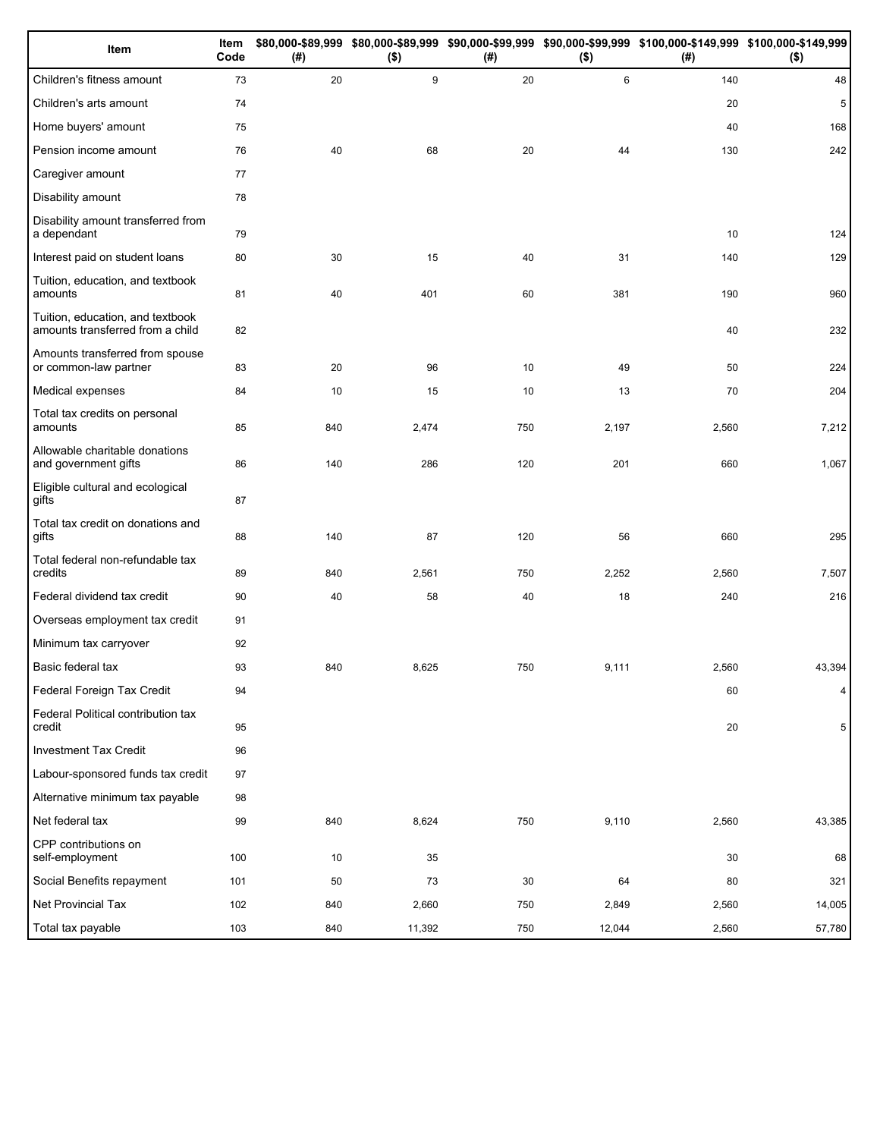| Item                                                                 | Item<br>Code | (#) | $($ \$) | (#) | $($ \$) | \$80,000-\$89,999 \$80,000-\$89,999 \$90,000-\$99,999 \$90,000-\$99,999 \$100,000-\$149,999 \$100,000-\$149,999<br>(#) | $($ \$) |
|----------------------------------------------------------------------|--------------|-----|---------|-----|---------|------------------------------------------------------------------------------------------------------------------------|---------|
| Children's fitness amount                                            | 73           | 20  | 9       | 20  | 6       | 140                                                                                                                    | 48      |
| Children's arts amount                                               | 74           |     |         |     |         | 20                                                                                                                     | 5       |
| Home buyers' amount                                                  | 75           |     |         |     |         | 40                                                                                                                     | 168     |
| Pension income amount                                                | 76           | 40  | 68      | 20  | 44      | 130                                                                                                                    | 242     |
| Caregiver amount                                                     | 77           |     |         |     |         |                                                                                                                        |         |
| Disability amount                                                    | 78           |     |         |     |         |                                                                                                                        |         |
| Disability amount transferred from<br>a dependant                    | 79           |     |         |     |         | 10                                                                                                                     | 124     |
| Interest paid on student loans                                       | 80           | 30  | 15      | 40  | 31      | 140                                                                                                                    | 129     |
| Tuition, education, and textbook<br>amounts                          | 81           | 40  | 401     | 60  | 381     | 190                                                                                                                    | 960     |
| Tuition, education, and textbook<br>amounts transferred from a child | 82           |     |         |     |         | 40                                                                                                                     | 232     |
| Amounts transferred from spouse<br>or common-law partner             | 83           | 20  | 96      | 10  | 49      | 50                                                                                                                     | 224     |
| Medical expenses                                                     | 84           | 10  | 15      | 10  | 13      | 70                                                                                                                     | 204     |
| Total tax credits on personal<br>amounts                             | 85           | 840 | 2,474   | 750 | 2,197   | 2,560                                                                                                                  | 7,212   |
| Allowable charitable donations<br>and government gifts               | 86           | 140 | 286     | 120 | 201     | 660                                                                                                                    | 1,067   |
| Eligible cultural and ecological<br>gifts                            | 87           |     |         |     |         |                                                                                                                        |         |
| Total tax credit on donations and<br>gifts                           | 88           | 140 | 87      | 120 | 56      | 660                                                                                                                    | 295     |
| Total federal non-refundable tax<br>credits                          | 89           | 840 | 2,561   | 750 | 2,252   | 2,560                                                                                                                  | 7,507   |
| Federal dividend tax credit                                          | 90           | 40  | 58      | 40  | 18      | 240                                                                                                                    | 216     |
| Overseas employment tax credit                                       | 91           |     |         |     |         |                                                                                                                        |         |
| Minimum tax carryover                                                | 92           |     |         |     |         |                                                                                                                        |         |
| Basic federal tax                                                    | 93           | 840 | 8,625   | 750 | 9,111   | 2,560                                                                                                                  | 43,394  |
| Federal Foreign Tax Credit                                           | 94           |     |         |     |         | 60                                                                                                                     | 4       |
| Federal Political contribution tax<br>credit                         | 95           |     |         |     |         | 20                                                                                                                     | 5       |
| <b>Investment Tax Credit</b>                                         | 96           |     |         |     |         |                                                                                                                        |         |
| Labour-sponsored funds tax credit                                    | 97           |     |         |     |         |                                                                                                                        |         |
| Alternative minimum tax payable                                      | 98           |     |         |     |         |                                                                                                                        |         |
| Net federal tax                                                      | 99           | 840 | 8,624   | 750 | 9,110   | 2,560                                                                                                                  | 43,385  |
| CPP contributions on<br>self-employment                              | 100          | 10  | 35      |     |         | 30                                                                                                                     | 68      |
| Social Benefits repayment                                            | 101          | 50  | 73      | 30  | 64      | 80                                                                                                                     | 321     |
| Net Provincial Tax                                                   | 102          | 840 | 2,660   | 750 | 2,849   | 2,560                                                                                                                  | 14,005  |
| Total tax payable                                                    | 103          | 840 | 11,392  | 750 | 12,044  | 2,560                                                                                                                  | 57,780  |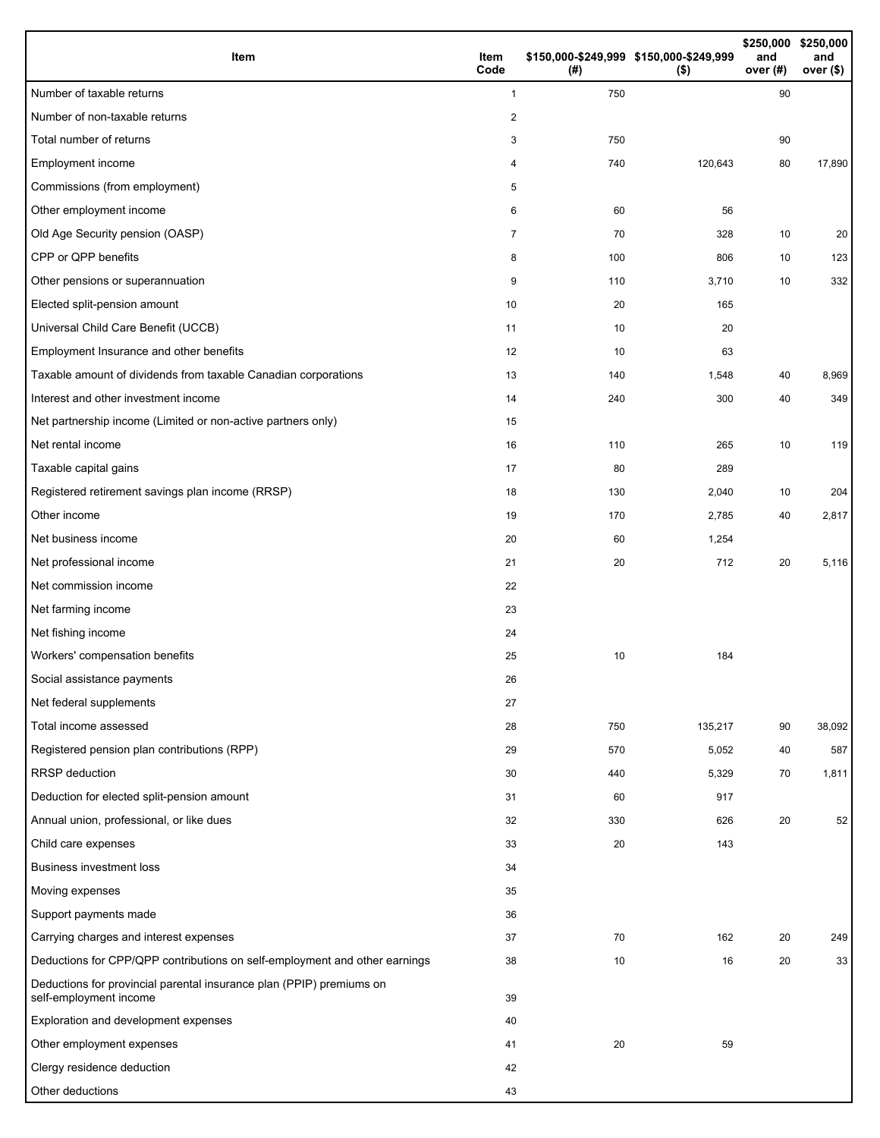| Item                                                                                           | Item<br>Code   | (#) | \$150,000-\$249,999 \$150,000-\$249,999<br>(\$) | and<br>over (#) | \$250,000 \$250,000<br>and<br>over $($)$ |
|------------------------------------------------------------------------------------------------|----------------|-----|-------------------------------------------------|-----------------|------------------------------------------|
| Number of taxable returns                                                                      | $\mathbf{1}$   | 750 |                                                 | 90              |                                          |
| Number of non-taxable returns                                                                  | 2              |     |                                                 |                 |                                          |
| Total number of returns                                                                        | 3              | 750 |                                                 | 90              |                                          |
| Employment income                                                                              | 4              | 740 | 120,643                                         | 80              | 17,890                                   |
| Commissions (from employment)                                                                  | 5              |     |                                                 |                 |                                          |
| Other employment income                                                                        | 6              | 60  | 56                                              |                 |                                          |
| Old Age Security pension (OASP)                                                                | $\overline{7}$ | 70  | 328                                             | 10              | 20                                       |
| CPP or QPP benefits                                                                            | 8              | 100 | 806                                             | 10              | 123                                      |
| Other pensions or superannuation                                                               | 9              | 110 | 3,710                                           | 10              | 332                                      |
| Elected split-pension amount                                                                   | 10             | 20  | 165                                             |                 |                                          |
| Universal Child Care Benefit (UCCB)                                                            | 11             | 10  | 20                                              |                 |                                          |
| Employment Insurance and other benefits                                                        | 12             | 10  | 63                                              |                 |                                          |
| Taxable amount of dividends from taxable Canadian corporations                                 | 13             | 140 | 1,548                                           | 40              | 8,969                                    |
| Interest and other investment income                                                           | 14             | 240 | 300                                             | 40              | 349                                      |
| Net partnership income (Limited or non-active partners only)                                   | 15             |     |                                                 |                 |                                          |
| Net rental income                                                                              | 16             | 110 | 265                                             | 10              | 119                                      |
| Taxable capital gains                                                                          | 17             | 80  | 289                                             |                 |                                          |
| Registered retirement savings plan income (RRSP)                                               | 18             | 130 | 2,040                                           | 10              | 204                                      |
| Other income                                                                                   | 19             | 170 | 2,785                                           | 40              | 2,817                                    |
| Net business income                                                                            | 20             | 60  | 1,254                                           |                 |                                          |
| Net professional income                                                                        | 21             | 20  | 712                                             | 20              | 5,116                                    |
| Net commission income                                                                          | 22             |     |                                                 |                 |                                          |
| Net farming income                                                                             | 23             |     |                                                 |                 |                                          |
| Net fishing income                                                                             | 24             |     |                                                 |                 |                                          |
| Workers' compensation benefits                                                                 | 25             | 10  | 184                                             |                 |                                          |
| Social assistance payments                                                                     | 26             |     |                                                 |                 |                                          |
| Net federal supplements                                                                        | 27             |     |                                                 |                 |                                          |
| Total income assessed                                                                          | 28             | 750 | 135,217                                         | 90              | 38,092                                   |
| Registered pension plan contributions (RPP)                                                    | 29             | 570 | 5,052                                           | 40              | 587                                      |
| <b>RRSP</b> deduction                                                                          | 30             | 440 | 5,329                                           | 70              | 1,811                                    |
| Deduction for elected split-pension amount                                                     | 31             | 60  | 917                                             |                 |                                          |
| Annual union, professional, or like dues                                                       | 32             | 330 | 626                                             | 20              | 52                                       |
| Child care expenses                                                                            | 33             | 20  | 143                                             |                 |                                          |
| <b>Business investment loss</b>                                                                | 34             |     |                                                 |                 |                                          |
| Moving expenses                                                                                | 35             |     |                                                 |                 |                                          |
| Support payments made                                                                          | 36             |     |                                                 |                 |                                          |
| Carrying charges and interest expenses                                                         | 37             | 70  | 162                                             | 20              | 249                                      |
| Deductions for CPP/QPP contributions on self-employment and other earnings                     | 38             | 10  | 16                                              | 20              | 33                                       |
| Deductions for provincial parental insurance plan (PPIP) premiums on<br>self-employment income | 39             |     |                                                 |                 |                                          |
| Exploration and development expenses                                                           | 40             |     |                                                 |                 |                                          |
| Other employment expenses                                                                      | 41             | 20  | 59                                              |                 |                                          |
| Clergy residence deduction                                                                     | 42             |     |                                                 |                 |                                          |
| Other deductions                                                                               | 43             |     |                                                 |                 |                                          |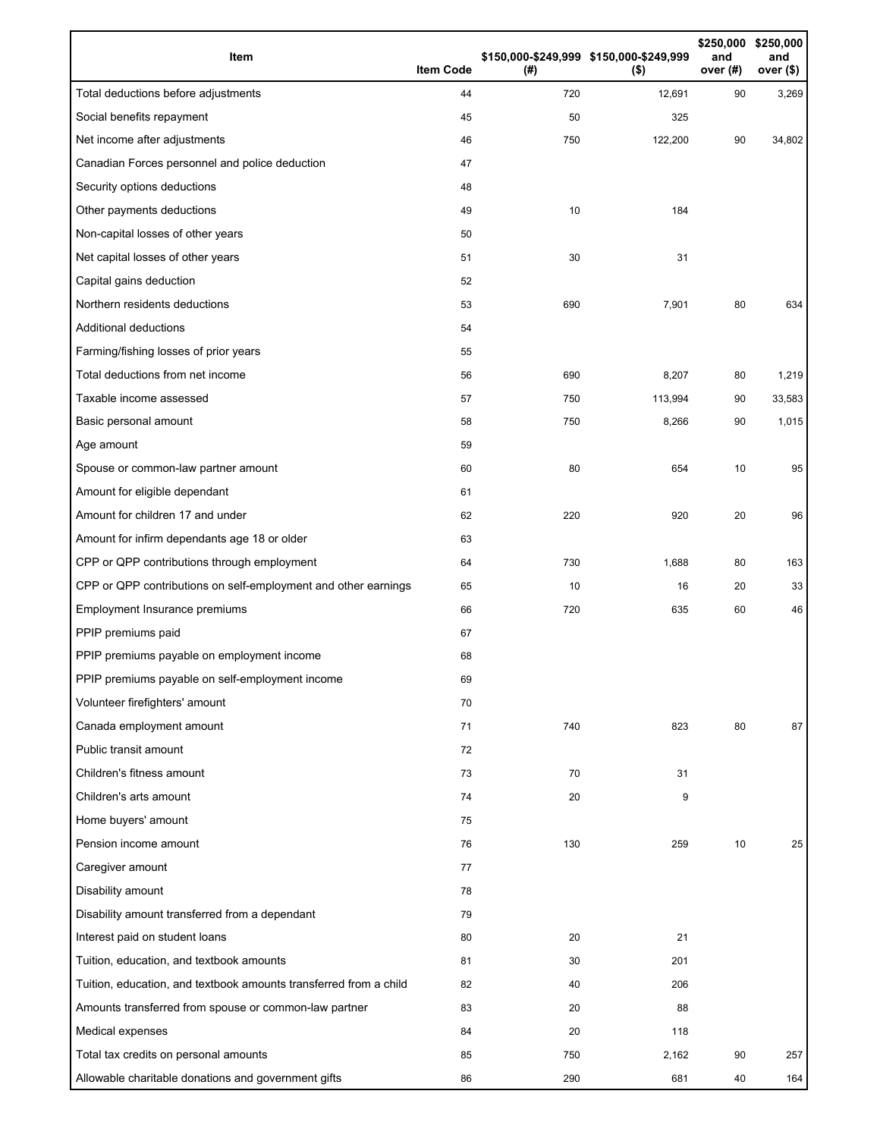| Item                                                              | <b>Item Code</b> | (#) | \$150,000-\$249,999 \$150,000-\$249,999<br>$($ \$) | \$250,000<br>and<br>over (#) | \$250,000<br>and<br>over (\$) |
|-------------------------------------------------------------------|------------------|-----|----------------------------------------------------|------------------------------|-------------------------------|
| Total deductions before adjustments                               | 44               | 720 | 12,691                                             | 90                           | 3,269                         |
| Social benefits repayment                                         | 45               | 50  | 325                                                |                              |                               |
| Net income after adjustments                                      | 46               | 750 | 122,200                                            | 90                           | 34,802                        |
| Canadian Forces personnel and police deduction                    | 47               |     |                                                    |                              |                               |
| Security options deductions                                       | 48               |     |                                                    |                              |                               |
| Other payments deductions                                         | 49               | 10  | 184                                                |                              |                               |
| Non-capital losses of other years                                 | 50               |     |                                                    |                              |                               |
| Net capital losses of other years                                 | 51               | 30  | 31                                                 |                              |                               |
| Capital gains deduction                                           | 52               |     |                                                    |                              |                               |
| Northern residents deductions                                     | 53               | 690 | 7,901                                              | 80                           | 634                           |
| Additional deductions                                             | 54               |     |                                                    |                              |                               |
| Farming/fishing losses of prior years                             | 55               |     |                                                    |                              |                               |
| Total deductions from net income                                  | 56               | 690 | 8,207                                              | 80                           | 1,219                         |
| Taxable income assessed                                           | 57               | 750 | 113,994                                            | 90                           | 33,583                        |
| Basic personal amount                                             | 58               | 750 | 8,266                                              | 90                           | 1,015                         |
| Age amount                                                        | 59               |     |                                                    |                              |                               |
| Spouse or common-law partner amount                               | 60               | 80  | 654                                                | 10                           | 95                            |
| Amount for eligible dependant                                     | 61               |     |                                                    |                              |                               |
| Amount for children 17 and under                                  | 62               | 220 | 920                                                | 20                           | 96                            |
| Amount for infirm dependants age 18 or older                      | 63               |     |                                                    |                              |                               |
| CPP or QPP contributions through employment                       | 64               | 730 | 1,688                                              | 80                           | 163                           |
| CPP or QPP contributions on self-employment and other earnings    | 65               | 10  | 16                                                 | 20                           | 33                            |
| Employment Insurance premiums                                     | 66               | 720 | 635                                                | 60                           | 46                            |
| PPIP premiums paid                                                | 67               |     |                                                    |                              |                               |
| PPIP premiums payable on employment income                        | 68               |     |                                                    |                              |                               |
| PPIP premiums payable on self-employment income                   | 69               |     |                                                    |                              |                               |
| Volunteer firefighters' amount                                    | 70               |     |                                                    |                              |                               |
| Canada employment amount                                          | 71               | 740 | 823                                                | 80                           | 87                            |
| Public transit amount                                             | 72               |     |                                                    |                              |                               |
| Children's fitness amount                                         | 73               | 70  | 31                                                 |                              |                               |
| Children's arts amount                                            | 74               | 20  | 9                                                  |                              |                               |
| Home buyers' amount                                               | 75               |     |                                                    |                              |                               |
| Pension income amount                                             | 76               | 130 | 259                                                | 10                           | 25                            |
| Caregiver amount                                                  | 77               |     |                                                    |                              |                               |
| Disability amount                                                 | 78               |     |                                                    |                              |                               |
| Disability amount transferred from a dependant                    | 79               |     |                                                    |                              |                               |
| Interest paid on student loans                                    | 80               | 20  | 21                                                 |                              |                               |
| Tuition, education, and textbook amounts                          | 81               | 30  | 201                                                |                              |                               |
| Tuition, education, and textbook amounts transferred from a child | 82               | 40  | 206                                                |                              |                               |
| Amounts transferred from spouse or common-law partner             | 83               | 20  | 88                                                 |                              |                               |
| Medical expenses                                                  | 84               | 20  | 118                                                |                              |                               |
| Total tax credits on personal amounts                             | 85               | 750 | 2,162                                              | 90                           | 257                           |
| Allowable charitable donations and government gifts               | 86               | 290 | 681                                                | 40                           | 164                           |